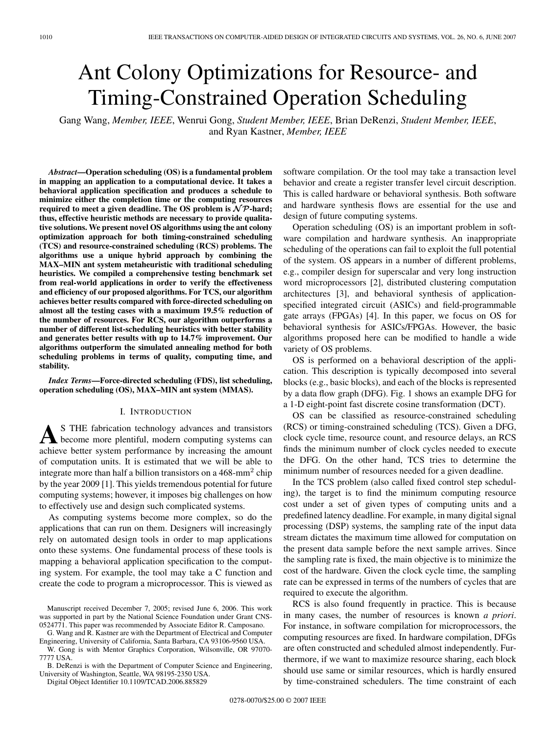# Ant Colony Optimizations for Resource- and Timing-Constrained Operation Scheduling

Gang Wang, *Member, IEEE*, Wenrui Gong, *Student Member, IEEE*, Brian DeRenzi, *Student Member, IEEE*, and Ryan Kastner, *Member, IEEE*

*Abstract***—Operation scheduling (OS) is a fundamental problem in mapping an application to a computational device. It takes a behavioral application specification and produces a schedule to minimize either the completion time or the computing resources required to meet a given deadline. The OS problem is** *N P***-hard; thus, effective heuristic methods are necessary to provide qualitative solutions. We present novel OS algorithms using the ant colony optimization approach for both timing-constrained scheduling (TCS) and resource-constrained scheduling (RCS) problems. The algorithms use a unique hybrid approach by combining the MAX–MIN ant system metaheuristic with traditional scheduling heuristics. We compiled a comprehensive testing benchmark set from real-world applications in order to verify the effectiveness and efficiency of our proposed algorithms. For TCS, our algorithm achieves better results compared with force-directed scheduling on almost all the testing cases with a maximum 19.5% reduction of the number of resources. For RCS, our algorithm outperforms a number of different list-scheduling heuristics with better stability and generates better results with up to 14.7% improvement. Our algorithms outperform the simulated annealing method for both scheduling problems in terms of quality, computing time, and stability.**

*Index Terms***—Force-directed scheduling (FDS), list scheduling, operation scheduling (OS), MAX–MIN ant system (MMAS).**

## I. INTRODUCTION

**A**S THE fabrication technology advances and transistors become more plentiful, modern computing systems can achieve better system performance by increasing the amount of computation units. It is estimated that we will be able to integrate more than half a billion transistors on a 468-mm<sup>2</sup> chip by the year 2009 [1]. This yields tremendous potential for future computing systems; however, it imposes big challenges on how to effectively use and design such complicated systems.

As computing systems become more complex, so do the applications that can run on them. Designers will increasingly rely on automated design tools in order to map applications onto these systems. One fundamental process of these tools is mapping a behavioral application specification to the computing system. For example, the tool may take a C function and create the code to program a microprocessor. This is viewed as

G. Wang and R. Kastner are with the Department of Electrical and Computer Engineering, University of California, Santa Barbara, CA 93106-9560 USA.

W. Gong is with Mentor Graphics Corporation, Wilsonville, OR 97070- 7777 USA.

B. DeRenzi is with the Department of Computer Science and Engineering, University of Washington, Seattle, WA 98195-2350 USA.

Digital Object Identifier 10.1109/TCAD.2006.885829

software compilation. Or the tool may take a transaction level behavior and create a register transfer level circuit description. This is called hardware or behavioral synthesis. Both software and hardware synthesis flows are essential for the use and design of future computing systems.

Operation scheduling (OS) is an important problem in software compilation and hardware synthesis. An inappropriate scheduling of the operations can fail to exploit the full potential of the system. OS appears in a number of different problems, e.g., compiler design for superscalar and very long instruction word microprocessors [2], distributed clustering computation architectures [3], and behavioral synthesis of applicationspecified integrated circuit (ASICs) and field-programmable gate arrays (FPGAs) [4]. In this paper, we focus on OS for behavioral synthesis for ASICs/FPGAs. However, the basic algorithms proposed here can be modified to handle a wide variety of OS problems.

OS is performed on a behavioral description of the application. This description is typically decomposed into several blocks (e.g., basic blocks), and each of the blocks is represented by a data flow graph (DFG). Fig. 1 shows an example DFG for a 1-D eight-point fast discrete cosine transformation (DCT).

OS can be classified as resource-constrained scheduling (RCS) or timing-constrained scheduling (TCS). Given a DFG, clock cycle time, resource count, and resource delays, an RCS finds the minimum number of clock cycles needed to execute the DFG. On the other hand, TCS tries to determine the minimum number of resources needed for a given deadline.

In the TCS problem (also called fixed control step scheduling), the target is to find the minimum computing resource cost under a set of given types of computing units and a predefined latency deadline. For example, in many digital signal processing (DSP) systems, the sampling rate of the input data stream dictates the maximum time allowed for computation on the present data sample before the next sample arrives. Since the sampling rate is fixed, the main objective is to minimize the cost of the hardware. Given the clock cycle time, the sampling rate can be expressed in terms of the numbers of cycles that are required to execute the algorithm.

RCS is also found frequently in practice. This is because in many cases, the number of resources is known *a priori*. For instance, in software compilation for microprocessors, the computing resources are fixed. In hardware compilation, DFGs are often constructed and scheduled almost independently. Furthermore, if we want to maximize resource sharing, each block should use same or similar resources, which is hardly ensured by time-constrained schedulers. The time constraint of each

Manuscript received December 7, 2005; revised June 6, 2006. This work was supported in part by the National Science Foundation under Grant CNS-0524771. This paper was recommended by Associate Editor R. Camposano.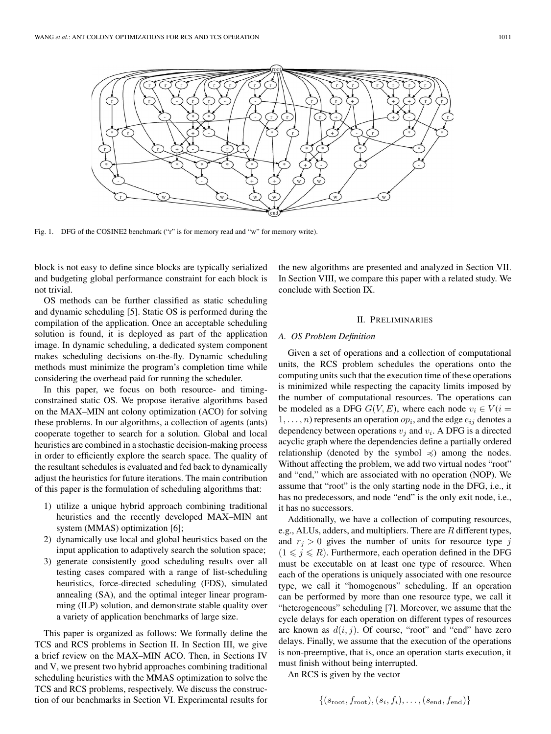

Fig. 1. DFG of the COSINE2 benchmark ("r" is for memory read and "w" for memory write).

block is not easy to define since blocks are typically serialized and budgeting global performance constraint for each block is not trivial.

OS methods can be further classified as static scheduling and dynamic scheduling [5]. Static OS is performed during the compilation of the application. Once an acceptable scheduling solution is found, it is deployed as part of the application image. In dynamic scheduling, a dedicated system component makes scheduling decisions on-the-fly. Dynamic scheduling methods must minimize the program's completion time while considering the overhead paid for running the scheduler.

In this paper, we focus on both resource- and timingconstrained static OS. We propose iterative algorithms based on the MAX–MIN ant colony optimization (ACO) for solving these problems. In our algorithms, a collection of agents (ants) cooperate together to search for a solution. Global and local heuristics are combined in a stochastic decision-making process in order to efficiently explore the search space. The quality of the resultant schedules is evaluated and fed back to dynamically adjust the heuristics for future iterations. The main contribution of this paper is the formulation of scheduling algorithms that:

- 1) utilize a unique hybrid approach combining traditional heuristics and the recently developed MAX–MIN ant system (MMAS) optimization [6];
- 2) dynamically use local and global heuristics based on the input application to adaptively search the solution space;
- 3) generate consistently good scheduling results over all testing cases compared with a range of list-scheduling heuristics, force-directed scheduling (FDS), simulated annealing (SA), and the optimal integer linear programming (ILP) solution, and demonstrate stable quality over a variety of application benchmarks of large size.

This paper is organized as follows: We formally define the TCS and RCS problems in Section II. In Section III, we give a brief review on the MAX–MIN ACO. Then, in Sections IV and V, we present two hybrid approaches combining traditional scheduling heuristics with the MMAS optimization to solve the TCS and RCS problems, respectively. We discuss the construction of our benchmarks in Section VI. Experimental results for

the new algorithms are presented and analyzed in Section VII. In Section VIII, we compare this paper with a related study. We conclude with Section IX.

# II. PRELIMINARIES

## *A. OS Problem Definition*

Given a set of operations and a collection of computational units, the RCS problem schedules the operations onto the computing units such that the execution time of these operations is minimized while respecting the capacity limits imposed by the number of computational resources. The operations can be modeled as a DFG  $G(V, E)$ , where each node  $v_i \in V(i =$  $1, \ldots, n$ ) represents an operation  $op_i$ , and the edge  $e_{ij}$  denotes a dependency between operations  $v_j$  and  $v_i$ . A DFG is a directed acyclic graph where the dependencies define a partially ordered relationship (denoted by the symbol  $\preccurlyeq$ ) among the nodes. Without affecting the problem, we add two virtual nodes "root" and "end," which are associated with no operation (NOP). We assume that "root" is the only starting node in the DFG, i.e., it has no predecessors, and node "end" is the only exit node, i.e., it has no successors.

Additionally, we have a collection of computing resources, e.g., ALUs, adders, and multipliers. There are  $R$  different types, and  $r_i > 0$  gives the number of units for resource type j  $(1 \leq j \leq R)$ . Furthermore, each operation defined in the DFG must be executable on at least one type of resource. When each of the operations is uniquely associated with one resource type, we call it "homogenous" scheduling. If an operation can be performed by more than one resource type, we call it "heterogeneous" scheduling [7]. Moreover, we assume that the cycle delays for each operation on different types of resources are known as  $d(i, j)$ . Of course, "root" and "end" have zero delays. Finally, we assume that the execution of the operations is non-preemptive, that is, once an operation starts execution, it must finish without being interrupted.

An RCS is given by the vector

$$
\{(s_{\text{root}}, f_{\text{root}}), (s_i, f_i), \dots, (s_{\text{end}}, f_{\text{end}})\}
$$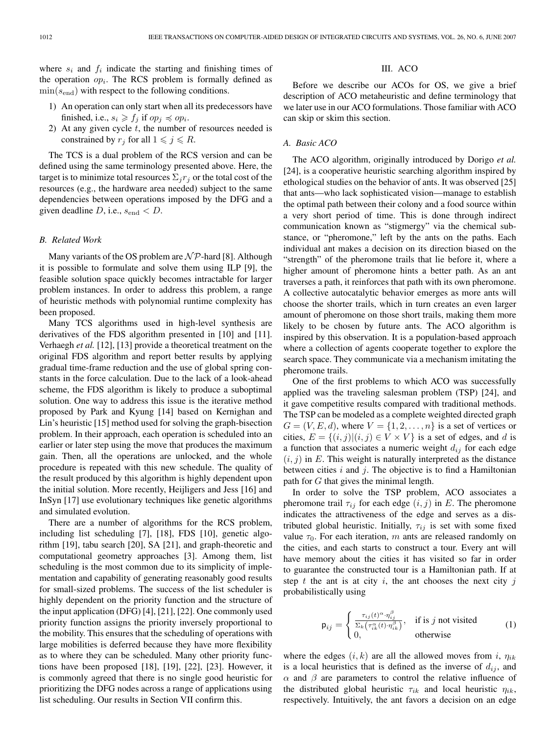where  $s_i$  and  $f_i$  indicate the starting and finishing times of the operation  $op_i$ . The RCS problem is formally defined as  $\min(s_{end})$  with respect to the following conditions.

- 1) An operation can only start when all its predecessors have finished, i.e.,  $s_i \geq f_j$  if  $op_j \preccurlyeq op_i$ .
- 2) At any given cycle  $t$ , the number of resources needed is constrained by  $r_j$  for all  $1 \leq j \leq R$ .

The TCS is a dual problem of the RCS version and can be defined using the same terminology presented above. Here, the target is to minimize total resources  $\Sigma_i r_i$  or the total cost of the resources (e.g., the hardware area needed) subject to the same dependencies between operations imposed by the DFG and a given deadline D, i.e.,  $s_{end} < D$ .

## *B. Related Work*

Many variants of the OS problem are  $N \mathcal{P}$ -hard [8]. Although it is possible to formulate and solve them using ILP [9], the feasible solution space quickly becomes intractable for larger problem instances. In order to address this problem, a range of heuristic methods with polynomial runtime complexity has been proposed.

Many TCS algorithms used in high-level synthesis are derivatives of the FDS algorithm presented in [10] and [11]. Verhaegh *et al.* [12], [13] provide a theoretical treatment on the original FDS algorithm and report better results by applying gradual time-frame reduction and the use of global spring constants in the force calculation. Due to the lack of a look-ahead scheme, the FDS algorithm is likely to produce a suboptimal solution. One way to address this issue is the iterative method proposed by Park and Kyung [14] based on Kernighan and Lin's heuristic [15] method used for solving the graph-bisection problem. In their approach, each operation is scheduled into an earlier or later step using the move that produces the maximum gain. Then, all the operations are unlocked, and the whole procedure is repeated with this new schedule. The quality of the result produced by this algorithm is highly dependent upon the initial solution. More recently, Heijligers and Jess [16] and InSyn [17] use evolutionary techniques like genetic algorithms and simulated evolution.

There are a number of algorithms for the RCS problem, including list scheduling [7], [18], FDS [10], genetic algorithm [19], tabu search [20], SA [21], and graph-theoretic and computational geometry approaches [3]. Among them, list scheduling is the most common due to its simplicity of implementation and capability of generating reasonably good results for small-sized problems. The success of the list scheduler is highly dependent on the priority function and the structure of the input application (DFG) [4], [21], [22]. One commonly used priority function assigns the priority inversely proportional to the mobility. This ensures that the scheduling of operations with large mobilities is deferred because they have more flexibility as to where they can be scheduled. Many other priority functions have been proposed [18], [19], [22], [23]. However, it is commonly agreed that there is no single good heuristic for prioritizing the DFG nodes across a range of applications using list scheduling. Our results in Section VII confirm this.

# III. ACO

Before we describe our ACOs for OS, we give a brief description of ACO metaheuristic and define terminology that we later use in our ACO formulations. Those familiar with ACO can skip or skim this section.

# *A. Basic ACO*

The ACO algorithm, originally introduced by Dorigo *et al.* [24], is a cooperative heuristic searching algorithm inspired by ethological studies on the behavior of ants. It was observed [25] that ants—who lack sophisticated vision—manage to establish the optimal path between their colony and a food source within a very short period of time. This is done through indirect communication known as "stigmergy" via the chemical substance, or "pheromone," left by the ants on the paths. Each individual ant makes a decision on its direction biased on the "strength" of the pheromone trails that lie before it, where a higher amount of pheromone hints a better path. As an ant traverses a path, it reinforces that path with its own pheromone. A collective autocatalytic behavior emerges as more ants will choose the shorter trails, which in turn creates an even larger amount of pheromone on those short trails, making them more likely to be chosen by future ants. The ACO algorithm is inspired by this observation. It is a population-based approach where a collection of agents cooperate together to explore the search space. They communicate via a mechanism imitating the pheromone trails.

One of the first problems to which ACO was successfully applied was the traveling salesman problem (TSP) [24], and it gave competitive results compared with traditional methods. The TSP can be modeled as a complete weighted directed graph  $G = (V, E, d)$ , where  $V = \{1, 2, \ldots, n\}$  is a set of vertices or cities,  $E = \{(i, j) | (i, j) \in V \times V \}$  is a set of edges, and d is a function that associates a numeric weight  $d_{ij}$  for each edge  $(i, j)$  in E. This weight is naturally interpreted as the distance between cities  $i$  and  $j$ . The objective is to find a Hamiltonian path for G that gives the minimal length.

In order to solve the TSP problem, ACO associates a pheromone trail  $\tau_{ij}$  for each edge  $(i, j)$  in E. The pheromone indicates the attractiveness of the edge and serves as a distributed global heuristic. Initially,  $\tau_{ij}$  is set with some fixed value  $\tau_0$ . For each iteration, m ants are released randomly on the cities, and each starts to construct a tour. Every ant will have memory about the cities it has visited so far in order to guarantee the constructed tour is a Hamiltonian path. If at step  $t$  the ant is at city  $i$ , the ant chooses the next city  $j$ probabilistically using

$$
\mathsf{p}_{ij} = \begin{cases} \frac{\tau_{ij}(t)^{\alpha} \cdot \eta_{ij}^{\beta}}{\Sigma_k \left(\tau_{ik}^{\alpha}(t) \cdot \eta_{ik}^{\beta}\right)}, & \text{if is } j \text{ not visited} \\ 0, & \text{otherwise} \end{cases} \tag{1}
$$

where the edges  $(i, k)$  are all the allowed moves from i,  $\eta_{ik}$ is a local heuristics that is defined as the inverse of  $d_{ij}$ , and  $\alpha$  and  $\beta$  are parameters to control the relative influence of the distributed global heuristic  $\tau_{ik}$  and local heuristic  $\eta_{ik}$ , respectively. Intuitively, the ant favors a decision on an edge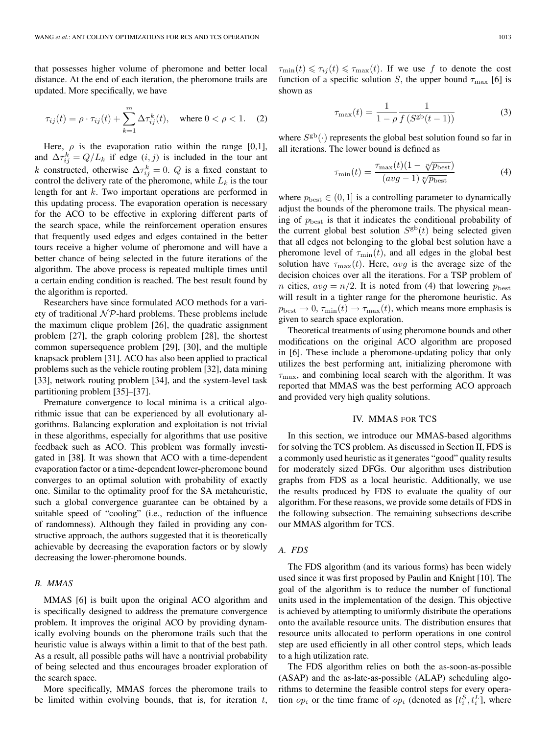that possesses higher volume of pheromone and better local distance. At the end of each iteration, the pheromone trails are updated. More specifically, we have

$$
\tau_{ij}(t) = \rho \cdot \tau_{ij}(t) + \sum_{k=1}^{m} \Delta \tau_{ij}^k(t), \quad \text{where } 0 < \rho < 1. \tag{2}
$$

Here,  $\rho$  is the evaporation ratio within the range [0,1], and  $\Delta \tau_{ij}^k = Q/L_k$  if edge  $(i, j)$  is included in the tour ant k constructed, otherwise  $\Delta \tau_{ij}^k = 0$ . Q is a fixed constant to control the delivery rate of the pheromone, while  $L_k$  is the tour length for ant k. Two important operations are performed in this updating process. The evaporation operation is necessary for the ACO to be effective in exploring different parts of the search space, while the reinforcement operation ensures that frequently used edges and edges contained in the better tours receive a higher volume of pheromone and will have a better chance of being selected in the future iterations of the algorithm. The above process is repeated multiple times until a certain ending condition is reached. The best result found by the algorithm is reported.

Researchers have since formulated ACO methods for a variety of traditional  $\mathcal{NP}$ -hard problems. These problems include the maximum clique problem [26], the quadratic assignment problem [27], the graph coloring problem [28], the shortest common supersequence problem [29], [30], and the multiple knapsack problem [31]. ACO has also been applied to practical problems such as the vehicle routing problem [32], data mining [33], network routing problem [34], and the system-level task partitioning problem [35]–[37].

Premature convergence to local minima is a critical algorithmic issue that can be experienced by all evolutionary algorithms. Balancing exploration and exploitation is not trivial in these algorithms, especially for algorithms that use positive feedback such as ACO. This problem was formally investigated in [38]. It was shown that ACO with a time-dependent evaporation factor or a time-dependent lower-pheromone bound converges to an optimal solution with probability of exactly one. Similar to the optimality proof for the SA metaheuristic, such a global convergence guarantee can be obtained by a suitable speed of "cooling" (i.e., reduction of the influence of randomness). Although they failed in providing any constructive approach, the authors suggested that it is theoretically achievable by decreasing the evaporation factors or by slowly decreasing the lower-pheromone bounds.

# *B. MMAS*

MMAS [6] is built upon the original ACO algorithm and is specifically designed to address the premature convergence problem. It improves the original ACO by providing dynamically evolving bounds on the pheromone trails such that the heuristic value is always within a limit to that of the best path. As a result, all possible paths will have a nontrivial probability of being selected and thus encourages broader exploration of the search space.

More specifically, MMAS forces the pheromone trails to be limited within evolving bounds, that is, for iteration  $t$ ,

 $\tau_{\min}(t) \leqslant \tau_{ij}(t) \leqslant \tau_{\max}(t)$ . If we use f to denote the cost function of a specific solution S, the upper bound  $\tau_{\text{max}}$  [6] is shown as

$$
\tau_{\max}(t) = \frac{1}{1 - \rho} \frac{1}{f(S^{\text{gb}}(t - 1))}
$$
\n(3)

where  $S^{gb}(\cdot)$  represents the global best solution found so far in all iterations. The lower bound is defined as

$$
\tau_{\min}(t) = \frac{\tau_{\max}(t)(1 - \sqrt[n]{p_{\text{best}}})}{(avg - 1)\sqrt[n]{p_{\text{best}}}}
$$
(4)

where  $p_{\text{best}} \in (0, 1]$  is a controlling parameter to dynamically adjust the bounds of the pheromone trails. The physical meaning of  $p_{\text{best}}$  is that it indicates the conditional probability of the current global best solution  $S^{gb}(t)$  being selected given that all edges not belonging to the global best solution have a pheromone level of  $\tau_{\min}(t)$ , and all edges in the global best solution have  $\tau_{\text{max}}(t)$ . Here, avg is the average size of the decision choices over all the iterations. For a TSP problem of *n* cities,  $avg = n/2$ . It is noted from (4) that lowering  $p_{best}$ will result in a tighter range for the pheromone heuristic. As  $p_{\text{best}} \rightarrow 0$ ,  $\tau_{\min}(t) \rightarrow \tau_{\max}(t)$ , which means more emphasis is given to search space exploration.

Theoretical treatments of using pheromone bounds and other modifications on the original ACO algorithm are proposed in [6]. These include a pheromone-updating policy that only utilizes the best performing ant, initializing pheromone with  $\tau_{\text{max}}$ , and combining local search with the algorithm. It was reported that MMAS was the best performing ACO approach and provided very high quality solutions.

# IV. MMAS FOR TCS

In this section, we introduce our MMAS-based algorithms for solving the TCS problem. As discussed in Section II, FDS is a commonly used heuristic as it generates "good" quality results for moderately sized DFGs. Our algorithm uses distribution graphs from FDS as a local heuristic. Additionally, we use the results produced by FDS to evaluate the quality of our algorithm. For these reasons, we provide some details of FDS in the following subsection. The remaining subsections describe our MMAS algorithm for TCS.

# *A. FDS*

The FDS algorithm (and its various forms) has been widely used since it was first proposed by Paulin and Knight [10]. The goal of the algorithm is to reduce the number of functional units used in the implementation of the design. This objective is achieved by attempting to uniformly distribute the operations onto the available resource units. The distribution ensures that resource units allocated to perform operations in one control step are used efficiently in all other control steps, which leads to a high utilization rate.

The FDS algorithm relies on both the as-soon-as-possible (ASAP) and the as-late-as-possible (ALAP) scheduling algorithms to determine the feasible control steps for every operation  $op_i$  or the time frame of  $op_i$  (denoted as  $[t_i^S, t_i^L]$ , where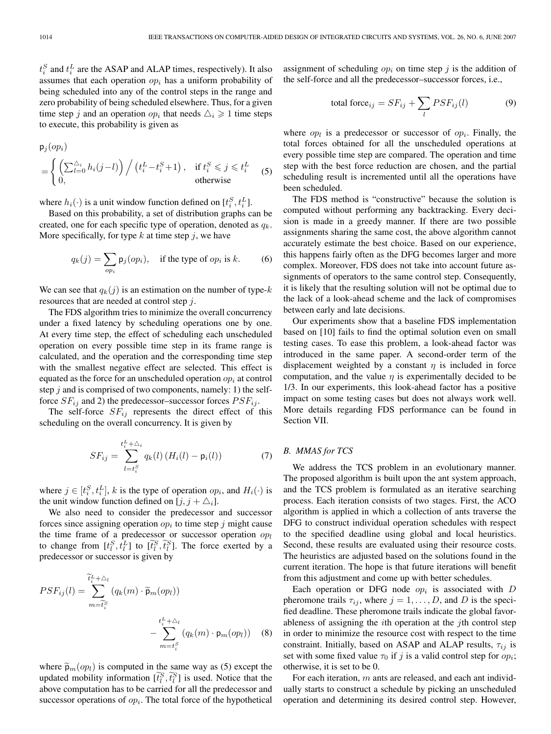$t_i^S$  and  $t_i^L$  are the ASAP and ALAP times, respectively). It also assumes that each operation  $op<sub>i</sub>$  has a uniform probability of being scheduled into any of the control steps in the range and zero probability of being scheduled elsewhere. Thus, for a given time step j and an operation  $op_i$  that needs  $\Delta_i \geq 1$  time steps to execute, this probability is given as

$$
\mathsf{p}_j(op_i) = \left\{ \left( \sum_{l=0}^{\Delta_i} h_i(j-l) \right) / \left( t_i^L - t_i^S + 1 \right), \quad \text{if } t_i^S \leq j \leq t_i^L \quad (5) \\ 0,
$$
 otherwise

where  $h_i(\cdot)$  is a unit window function defined on  $[t_i^S, t_i^L]$ .

Based on this probability, a set of distribution graphs can be created, one for each specific type of operation, denoted as  $q_k$ . More specifically, for type  $k$  at time step  $j$ , we have

$$
q_k(j) = \sum_{op_i} \mathsf{p}_j(op_i), \quad \text{if the type of } op_i \text{ is } k. \tag{6}
$$

We can see that  $q_k(j)$  is an estimation on the number of type-k resources that are needed at control step j.

The FDS algorithm tries to minimize the overall concurrency under a fixed latency by scheduling operations one by one. At every time step, the effect of scheduling each unscheduled operation on every possible time step in its frame range is calculated, and the operation and the corresponding time step with the smallest negative effect are selected. This effect is equated as the force for an unscheduled operation  $op_i$  at control step  $j$  and is comprised of two components, namely: 1) the selfforce  $SF_{ij}$  and 2) the predecessor–successor forces  $PSF_{ij}$ .

The self-force  $SF_{ij}$  represents the direct effect of this scheduling on the overall concurrency. It is given by

$$
SF_{ij} = \sum_{l=t_i^S}^{t_i^L + \Delta_i} q_k(l) (H_i(l) - \mathsf{p}_i(l))
$$
 (7)

where  $j \in [t_i^S, t_i^L]$ , k is the type of operation  $op_i$ , and  $H_i(\cdot)$  is the unit window function defined on  $[j, j + \triangle_i]$ .

We also need to consider the predecessor and successor forces since assigning operation  $op<sub>i</sub>$  to time step j might cause the time frame of a predecessor or successor operation  $op_l$ to change from  $[t_l^S, t_l^L]$  to  $[\tilde{t}_l^S, \tilde{t}_l^S]$ . The force exerted by a predecessor or successor is given by

$$
PSF_{ij}(l) = \sum_{m=\tilde{t}_i^S}^{\tilde{t}_i^L + \triangle_l} (q_k(m) \cdot \tilde{p}_m(op_l))
$$

$$
- \sum_{m=t_i^S}^{t_i^L + \triangle_l} (q_k(m) \cdot p_m(op_l)) \quad (8)
$$

where  $\tilde{p}_m(op_l)$  is computed in the same way as (5) except the updated mobility information  $[\tilde{t}_l^S, \tilde{t}_l^S]$  is used. Notice that the above computation has to be carried for all the predecessor and successor operations of  $op_i$ . The total force of the hypothetical

assignment of scheduling  $op_i$  on time step j is the addition of the self-force and all the predecessor–successor forces, i.e.,

total force<sub>ij</sub> = 
$$
SF_{ij} + \sum_{l} PSF_{ij}(l)
$$
 (9)

where  $op_l$  is a predecessor or successor of  $op_i$ . Finally, the total forces obtained for all the unscheduled operations at every possible time step are compared. The operation and time step with the best force reduction are chosen, and the partial scheduling result is incremented until all the operations have been scheduled.

The FDS method is "constructive" because the solution is computed without performing any backtracking. Every decision is made in a greedy manner. If there are two possible assignments sharing the same cost, the above algorithm cannot accurately estimate the best choice. Based on our experience, this happens fairly often as the DFG becomes larger and more complex. Moreover, FDS does not take into account future assignments of operators to the same control step. Consequently, it is likely that the resulting solution will not be optimal due to the lack of a look-ahead scheme and the lack of compromises between early and late decisions.

Our experiments show that a baseline FDS implementation based on [10] fails to find the optimal solution even on small testing cases. To ease this problem, a look-ahead factor was introduced in the same paper. A second-order term of the displacement weighted by a constant  $\eta$  is included in force computation, and the value  $\eta$  is experimentally decided to be 1/3. In our experiments, this look-ahead factor has a positive impact on some testing cases but does not always work well. More details regarding FDS performance can be found in Section VII.

## *B. MMAS for TCS*

We address the TCS problem in an evolutionary manner. The proposed algorithm is built upon the ant system approach, and the TCS problem is formulated as an iterative searching process. Each iteration consists of two stages. First, the ACO algorithm is applied in which a collection of ants traverse the DFG to construct individual operation schedules with respect to the specified deadline using global and local heuristics. Second, these results are evaluated using their resource costs. The heuristics are adjusted based on the solutions found in the current iteration. The hope is that future iterations will benefit from this adjustment and come up with better schedules.

Each operation or DFG node  $op_i$  is associated with D pheromone trails  $\tau_{ij}$ , where  $j = 1, \ldots, D$ , and D is the specified deadline. These pheromone trails indicate the global favorableness of assigning the *i*th operation at the *j*th control step in order to minimize the resource cost with respect to the time constraint. Initially, based on ASAP and ALAP results,  $\tau_{ij}$  is set with some fixed value  $\tau_0$  if j is a valid control step for  $op_i$ ; otherwise, it is set to be 0.

For each iteration,  $m$  ants are released, and each ant individually starts to construct a schedule by picking an unscheduled operation and determining its desired control step. However,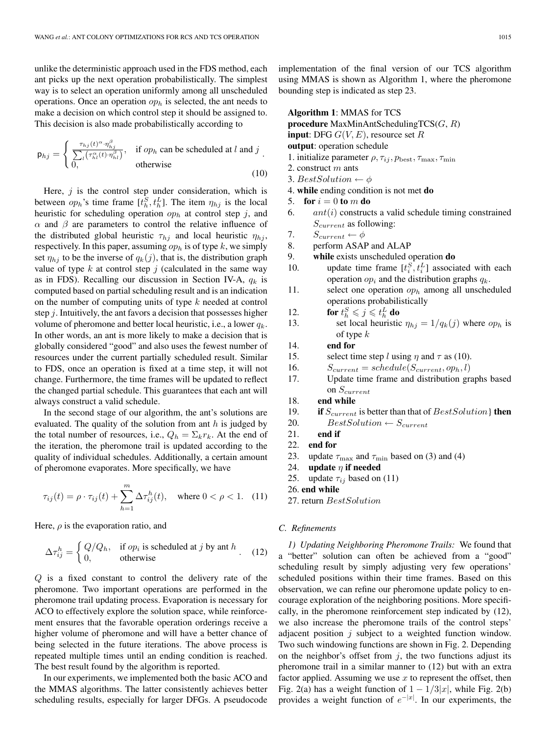unlike the deterministic approach used in the FDS method, each ant picks up the next operation probabilistically. The simplest way is to select an operation uniformly among all unscheduled operations. Once an operation  $op<sub>h</sub>$  is selected, the ant needs to make a decision on which control step it should be assigned to. This decision is also made probabilistically according to

$$
\mathsf{p}_{hj} = \begin{cases} \frac{\tau_{hj}(t)^{\alpha} \cdot \eta_{hj}^{\beta}}{\sum_{l} (\tau_{hl}^{\alpha}(t) \cdot \eta_{hl}^{\beta})}, & \text{if } op_h \text{ can be scheduled at } l \text{ and } j \\ 0, & \text{otherwise} \end{cases} \tag{10}
$$

Here,  $j$  is the control step under consideration, which is between  $op_h$ 's time frame  $[t_h^S, t_h^L]$ . The item  $\eta_{hj}$  is the local heuristic for scheduling operation  $op<sub>h</sub>$  at control step j, and  $\alpha$  and  $\beta$  are parameters to control the relative influence of the distributed global heuristic  $\tau_{hj}$  and local heuristic  $\eta_{hj}$ , respectively. In this paper, assuming  $op<sub>h</sub>$  is of type k, we simply set  $\eta_{hj}$  to be the inverse of  $q_k(j)$ , that is, the distribution graph value of type  $k$  at control step  $j$  (calculated in the same way as in FDS). Recalling our discussion in Section IV-A,  $q_k$  is computed based on partial scheduling result and is an indication on the number of computing units of type  $k$  needed at control step j. Intuitively, the ant favors a decision that possesses higher volume of pheromone and better local heuristic, i.e., a lower  $q_k$ . In other words, an ant is more likely to make a decision that is globally considered "good" and also uses the fewest number of resources under the current partially scheduled result. Similar to FDS, once an operation is fixed at a time step, it will not change. Furthermore, the time frames will be updated to reflect the changed partial schedule. This guarantees that each ant will always construct a valid schedule.

In the second stage of our algorithm, the ant's solutions are evaluated. The quality of the solution from ant  $h$  is judged by the total number of resources, i.e.,  $Q_h = \sum_k r_k$ . At the end of the iteration, the pheromone trail is updated according to the quality of individual schedules. Additionally, a certain amount of pheromone evaporates. More specifically, we have

$$
\tau_{ij}(t) = \rho \cdot \tau_{ij}(t) + \sum_{h=1}^{m} \Delta \tau_{ij}^h(t), \quad \text{where } 0 < \rho < 1. \tag{11}
$$

Here,  $\rho$  is the evaporation ratio, and

$$
\Delta \tau_{ij}^h = \begin{cases} Q/Q_h, & \text{if } op_i \text{ is scheduled at } j \text{ by ant } h \\ 0, & \text{otherwise} \end{cases}
$$
 (12)

Q is a fixed constant to control the delivery rate of the pheromone. Two important operations are performed in the pheromone trail updating process. Evaporation is necessary for ACO to effectively explore the solution space, while reinforcement ensures that the favorable operation orderings receive a higher volume of pheromone and will have a better chance of being selected in the future iterations. The above process is repeated multiple times until an ending condition is reached. The best result found by the algorithm is reported.

In our experiments, we implemented both the basic ACO and the MMAS algorithms. The latter consistently achieves better scheduling results, especially for larger DFGs. A pseudocode

implementation of the final version of our TCS algorithm using MMAS is shown as Algorithm 1, where the pheromone bounding step is indicated as step 23.

**Algorithm 1**: MMAS for TCS

**procedure** MaxMinAntSchedulingTCS(G, R) **input**: DFG  $G(V, E)$ , resource set R

**output**: operation schedule

- 1. initialize parameter  $\rho, \tau_{ij}, p_{\text{best}}, \tau_{\text{max}}, \tau_{\text{min}}$
- 2. construct m ants
- 3. BestSolution  $\leftarrow \phi$
- 4. **while** ending condition is not met **do**
- 5. **for**  $i = 0$  **to** m **do**
- 6.  $ant(i)$  constructs a valid schedule timing constrained  $S_{current}$  as following:
- 7.  $S_{current} \leftarrow \phi$
- 8. perform ASAP and ALAP
- 9. **while** exists unscheduled operation **do**
- 10. update time frame  $[t_i^S, t_i^L]$  associated with each operation  $op_i$  and the distribution graphs  $q_k$ .
- 11. select one operation  $op<sub>h</sub>$  among all unscheduled operations probabilistically
- 12. **for**  $t_h^S \leqslant j \leqslant t_h^L$  **do**
- 13. set local heuristic  $\eta_{hj} = 1/q_k(j)$  where  $op_h$  is of type  $k$
- 14. **end for**
- 15. select time step l using  $\eta$  and  $\tau$  as (10).
- 16.  $S_{current} = schedule(S_{current}, op_h, l)$
- 17. Update time frame and distribution graphs based on  $S_{current}$
- 18. **end while**
- 19. **if**  $S_{current}$  is better than that of  $BestSolution$  **then**
- 20. BestSolution  $\leftarrow$  S<sub>current</sub>
- 21. **end if**
- 22. **end for**
- 23. update  $\tau_{\text{max}}$  and  $\tau_{\text{min}}$  based on (3) and (4)
- 24. **update**  $\eta$  **if needed**
- 25. update  $\tau_{ij}$  based on (11)
- 26. **end while**
- 27. return BestSolution

## *C. Refinements*

*1) Updating Neighboring Pheromone Trails:* We found that a "better" solution can often be achieved from a "good" scheduling result by simply adjusting very few operations' scheduled positions within their time frames. Based on this observation, we can refine our pheromone update policy to encourage exploration of the neighboring positions. More specifically, in the pheromone reinforcement step indicated by (12), we also increase the pheromone trails of the control steps' adjacent position j subject to a weighted function window. Two such windowing functions are shown in Fig. 2. Depending on the neighbor's offset from  $j$ , the two functions adjust its pheromone trail in a similar manner to (12) but with an extra factor applied. Assuming we use  $x$  to represent the offset, then Fig. 2(a) has a weight function of  $1 - 1/3|x|$ , while Fig. 2(b) provides a weight function of  $e^{-|x|}$ . In our experiments, the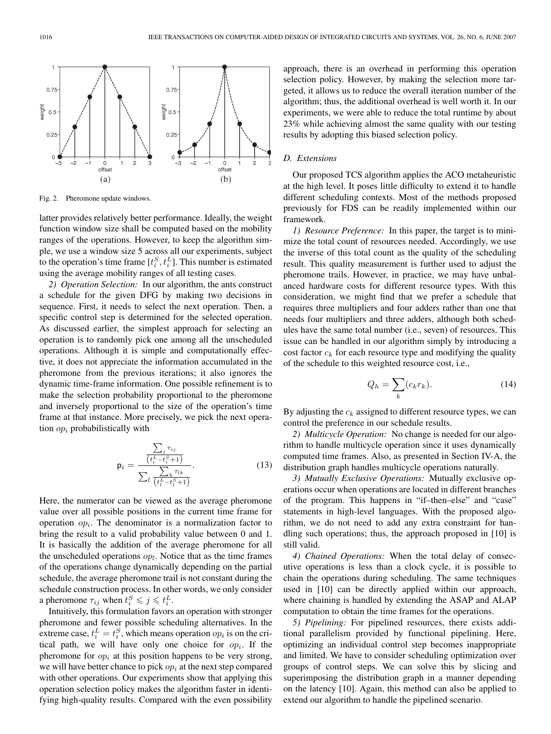

Fig. 2. Pheromone update windows.

latter provides relatively better performance. Ideally, the weight function window size shall be computed based on the mobility ranges of the operations. However, to keep the algorithm simple, we use a window size 5 across all our experiments, subject to the operation's time frame  $[t_i^S, t_i^L]$ . This number is estimated using the average mobility ranges of all testing cases.

*2) Operation Selection:* In our algorithm, the ants construct a schedule for the given DFG by making two decisions in sequence. First, it needs to select the next operation. Then, a specific control step is determined for the selected operation. As discussed earlier, the simplest approach for selecting an operation is to randomly pick one among all the unscheduled operations. Although it is simple and computationally effective, it does not appreciate the information accumulated in the pheromone from the previous iterations; it also ignores the dynamic time-frame information. One possible refinement is to make the selection probability proportional to the pheromone and inversely proportional to the size of the operation's time frame at that instance. More precisely, we pick the next operation  $op_i$  probabilistically with

$$
\mathsf{p}_{i} = \frac{\frac{\sum_{j} \tau_{ij}}{(t_{i}^{L} - t_{i}^{S} + 1)}}{\sum_{l} \frac{\sum_{k} \tau_{lk}}{(t_{l}^{L} - t_{i}^{S} + 1)}}.
$$
(13)

Here, the numerator can be viewed as the average pheromone value over all possible positions in the current time frame for operation  $op_i$ . The denominator is a normalization factor to bring the result to a valid probability value between 0 and 1. It is basically the addition of the average pheromone for all the unscheduled operations  $op_l$ . Notice that as the time frames of the operations change dynamically depending on the partial schedule, the average pheromone trail is not constant during the schedule construction process. In other words, we only consider a pheromone  $\tau_{ij}$  when  $t_i^S \leqslant j \leqslant t_i^L$ .

Intuitively, this formulation favors an operation with stronger pheromone and fewer possible scheduling alternatives. In the extreme case,  $t_i^L = t_i^S$ , which means operation  $op_i$  is on the critical path, we will have only one choice for  $op_i$ . If the pheromone for  $op_i$  at this position happens to be very strong, we will have better chance to pick  $op_i$  at the next step compared with other operations. Our experiments show that applying this operation selection policy makes the algorithm faster in identifying high-quality results. Compared with the even possibility approach, there is an overhead in performing this operation selection policy. However, by making the selection more targeted, it allows us to reduce the overall iteration number of the algorithm; thus, the additional overhead is well worth it. In our experiments, we were able to reduce the total runtime by about 23% while achieving almost the same quality with our testing results by adopting this biased selection policy.

## *D. Extensions*

Our proposed TCS algorithm applies the ACO metaheuristic at the high level. It poses little difficulty to extend it to handle different scheduling contexts. Most of the methods proposed previously for FDS can be readily implemented within our framework.

*1) Resource Preference:* In this paper, the target is to minimize the total count of resources needed. Accordingly, we use the inverse of this total count as the quality of the scheduling result. This quality measurement is further used to adjust the pheromone trails. However, in practice, we may have unbalanced hardware costs for different resource types. With this consideration, we might find that we prefer a schedule that requires three multipliers and four adders rather than one that needs four multipliers and three adders, although both schedules have the same total number (i.e., seven) of resources. This issue can be handled in our algorithm simply by introducing a cost factor  $c_k$  for each resource type and modifying the quality of the schedule to this weighted resource cost, i.e.,

$$
Q_h = \sum_k (c_k r_k). \tag{14}
$$

By adjusting the  $c_k$  assigned to different resource types, we can control the preference in our schedule results.

*2) Multicycle Operation:* No change is needed for our algorithm to handle multicycle operation since it uses dynamically computed time frames. Also, as presented in Section IV-A, the distribution graph handles multicycle operations naturally.

*3) Mutually Exclusive Operations:* Mutually exclusive operations occur when operations are located in different branches of the program. This happens in "if–then–else" and "case" statements in high-level languages. With the proposed algorithm, we do not need to add any extra constraint for handling such operations; thus, the approach proposed in [10] is still valid.

*4) Chained Operations:* When the total delay of consecutive operations is less than a clock cycle, it is possible to chain the operations during scheduling. The same techniques used in [10] can be directly applied within our approach, where chaining is handled by extending the ASAP and ALAP computation to obtain the time frames for the operations.

*5) Pipelining:* For pipelined resources, there exists additional parallelism provided by functional pipelining. Here, optimizing an individual control step becomes inappropriate and limited. We have to consider scheduling optimization over groups of control steps. We can solve this by slicing and superimposing the distribution graph in a manner depending on the latency [10]. Again, this method can also be applied to extend our algorithm to handle the pipelined scenario.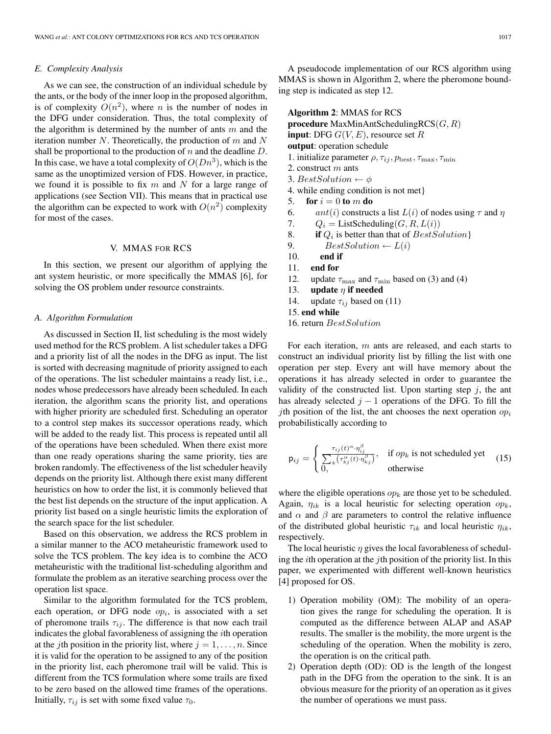#### *E. Complexity Analysis*

As we can see, the construction of an individual schedule by the ants, or the body of the inner loop in the proposed algorithm, is of complexity  $O(n^2)$ , where *n* is the number of nodes in the DFG under consideration. Thus, the total complexity of the algorithm is determined by the number of ants  $m$  and the iteration number  $N$ . Theoretically, the production of  $m$  and  $N$ shall be proportional to the production of  $n$  and the deadline  $D$ . In this case, we have a total complexity of  $O(Dn^3)$ , which is the same as the unoptimized version of FDS. However, in practice, we found it is possible to fix  $m$  and  $N$  for a large range of applications (see Section VII). This means that in practical use the algorithm can be expected to work with  $O(n^2)$  complexity for most of the cases.

# V. MMAS FOR RCS

In this section, we present our algorithm of applying the ant system heuristic, or more specifically the MMAS [6], for solving the OS problem under resource constraints.

#### *A. Algorithm Formulation*

As discussed in Section II, list scheduling is the most widely used method for the RCS problem. A list scheduler takes a DFG and a priority list of all the nodes in the DFG as input. The list is sorted with decreasing magnitude of priority assigned to each of the operations. The list scheduler maintains a ready list, i.e., nodes whose predecessors have already been scheduled. In each iteration, the algorithm scans the priority list, and operations with higher priority are scheduled first. Scheduling an operator to a control step makes its successor operations ready, which will be added to the ready list. This process is repeated until all of the operations have been scheduled. When there exist more than one ready operations sharing the same priority, ties are broken randomly. The effectiveness of the list scheduler heavily depends on the priority list. Although there exist many different heuristics on how to order the list, it is commonly believed that the best list depends on the structure of the input application. A priority list based on a single heuristic limits the exploration of the search space for the list scheduler.

Based on this observation, we address the RCS problem in a similar manner to the ACO metaheuristic framework used to solve the TCS problem. The key idea is to combine the ACO metaheuristic with the traditional list-scheduling algorithm and formulate the problem as an iterative searching process over the operation list space.

Similar to the algorithm formulated for the TCS problem, each operation, or DFG node  $op_i$ , is associated with a set of pheromone trails  $\tau_{ij}$ . The difference is that now each trail indicates the global favorableness of assigning the  $i$ th operation at the jth position in the priority list, where  $j = 1, \ldots, n$ . Since it is valid for the operation to be assigned to any of the position in the priority list, each pheromone trail will be valid. This is different from the TCS formulation where some trails are fixed to be zero based on the allowed time frames of the operations. Initially,  $\tau_{ij}$  is set with some fixed value  $\tau_0$ .

**Algorithm 2**: MMAS for RCS

ing step is indicated as step 12.

**procedure** MaxMinAntSchedulingRCS(G, R) **input**: DFG  $G(V, E)$ , resource set R

**output**: operation schedule

- 1. initialize parameter  $\rho, \tau_{ij}, p_{\text{best}}, \tau_{\text{max}}, \tau_{\text{min}}$
- 2. construct m ants
- 3. BestSolution  $\leftarrow \phi$
- 4. while ending condition is not met}
- 5. **for**  $i = 0$  **to** m **do**
- 6. ant(i) constructs a list  $L(i)$  of nodes using  $\tau$  and  $\eta$
- 7.  $Q_i = \text{ListScheduling}(G, R, L(i))$
- 8. **if**  $Q_i$  is better than that of  $BestSolution$ }
- 9.  $BestSolution \leftarrow L(i)$
- 10. **end if**
- 11. **end for**
- 12. update  $\tau_{\text{max}}$  and  $\tau_{\text{min}}$  based on (3) and (4)
- 13. **update**  $\eta$  **if needed**
- 14. update  $\tau_{ij}$  based on (11)
- 15. **end while**
- 16. return BestSolution

For each iteration, m ants are released, and each starts to construct an individual priority list by filling the list with one operation per step. Every ant will have memory about the operations it has already selected in order to guarantee the validity of the constructed list. Upon starting step  $j$ , the ant has already selected  $j - 1$  operations of the DFG. To fill the jth position of the list, the ant chooses the next operation  $op_i$ probabilistically according to

$$
\mathsf{p}_{ij} = \begin{cases} \frac{\tau_{ij}(t)^{\alpha} \cdot \eta_{ij}^{\beta}}{\sum_{k} (\tau_{kj}^{\alpha}(t) \cdot \eta_{kj}^{\beta})}, & \text{if } op_k \text{ is not scheduled yet} \\ 0, & \text{otherwise} \end{cases}
$$
(15)

where the eligible operations  $op<sub>k</sub>$  are those yet to be scheduled. Again,  $\eta_{ik}$  is a local heuristic for selecting operation  $op_k$ , and  $\alpha$  and  $\beta$  are parameters to control the relative influence of the distributed global heuristic  $\tau_{ik}$  and local heuristic  $\eta_{ik}$ , respectively.

The local heuristic  $\eta$  gives the local favorableness of scheduling the *i*th operation at the *j*th position of the priority list. In this paper, we experimented with different well-known heuristics [4] proposed for OS.

- 1) Operation mobility (OM): The mobility of an operation gives the range for scheduling the operation. It is computed as the difference between ALAP and ASAP results. The smaller is the mobility, the more urgent is the scheduling of the operation. When the mobility is zero, the operation is on the critical path.
- 2) Operation depth (OD): OD is the length of the longest path in the DFG from the operation to the sink. It is an obvious measure for the priority of an operation as it gives the number of operations we must pass.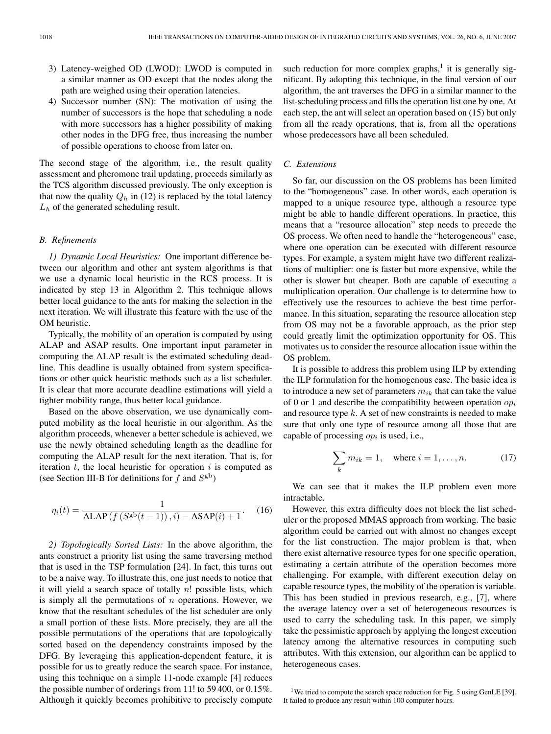- 3) Latency-weighed OD (LWOD): LWOD is computed in a similar manner as OD except that the nodes along the path are weighed using their operation latencies.
- 4) Successor number (SN): The motivation of using the number of successors is the hope that scheduling a node with more successors has a higher possibility of making other nodes in the DFG free, thus increasing the number of possible operations to choose from later on.

The second stage of the algorithm, i.e., the result quality assessment and pheromone trail updating, proceeds similarly as the TCS algorithm discussed previously. The only exception is that now the quality  $Q_h$  in (12) is replaced by the total latency  $L<sub>h</sub>$  of the generated scheduling result.

# *B. Refinements*

*1) Dynamic Local Heuristics:* One important difference between our algorithm and other ant system algorithms is that we use a dynamic local heuristic in the RCS process. It is indicated by step 13 in Algorithm 2. This technique allows better local guidance to the ants for making the selection in the next iteration. We will illustrate this feature with the use of the OM heuristic.

Typically, the mobility of an operation is computed by using ALAP and ASAP results. One important input parameter in computing the ALAP result is the estimated scheduling deadline. This deadline is usually obtained from system specifications or other quick heuristic methods such as a list scheduler. It is clear that more accurate deadline estimations will yield a tighter mobility range, thus better local guidance.

Based on the above observation, we use dynamically computed mobility as the local heuristic in our algorithm. As the algorithm proceeds, whenever a better schedule is achieved, we use the newly obtained scheduling length as the deadline for computing the ALAP result for the next iteration. That is, for iteration  $t$ , the local heuristic for operation  $i$  is computed as (see Section III-B for definitions for f and  $S^{gb}$ )

$$
\eta_i(t) = \frac{1}{\text{ALAP}\left(f\left(S^{\text{gb}}(t-1)\right), i\right) - \text{ASAP}(i) + 1}.
$$
 (16)

*2) Topologically Sorted Lists:* In the above algorithm, the ants construct a priority list using the same traversing method that is used in the TSP formulation [24]. In fact, this turns out to be a naive way. To illustrate this, one just needs to notice that it will yield a search space of totally  $n!$  possible lists, which is simply all the permutations of  $n$  operations. However, we know that the resultant schedules of the list scheduler are only a small portion of these lists. More precisely, they are all the possible permutations of the operations that are topologically sorted based on the dependency constraints imposed by the DFG. By leveraging this application-dependent feature, it is possible for us to greatly reduce the search space. For instance, using this technique on a simple 11-node example [4] reduces the possible number of orderings from 11! to 59 400, or 0.15%. Although it quickly becomes prohibitive to precisely compute

such reduction for more complex graphs, $\frac{1}{1}$  it is generally significant. By adopting this technique, in the final version of our algorithm, the ant traverses the DFG in a similar manner to the list-scheduling process and fills the operation list one by one. At each step, the ant will select an operation based on (15) but only from all the ready operations, that is, from all the operations whose predecessors have all been scheduled.

# *C. Extensions*

So far, our discussion on the OS problems has been limited to the "homogeneous" case. In other words, each operation is mapped to a unique resource type, although a resource type might be able to handle different operations. In practice, this means that a "resource allocation" step needs to precede the OS process. We often need to handle the "heterogeneous" case, where one operation can be executed with different resource types. For example, a system might have two different realizations of multiplier: one is faster but more expensive, while the other is slower but cheaper. Both are capable of executing a multiplication operation. Our challenge is to determine how to effectively use the resources to achieve the best time performance. In this situation, separating the resource allocation step from OS may not be a favorable approach, as the prior step could greatly limit the optimization opportunity for OS. This motivates us to consider the resource allocation issue within the OS problem.

It is possible to address this problem using ILP by extending the ILP formulation for the homogenous case. The basic idea is to introduce a new set of parameters  $m_{ik}$  that can take the value of 0 or 1 and describe the compatibility between operation  $op_i$ and resource type  $k$ . A set of new constraints is needed to make sure that only one type of resource among all those that are capable of processing  $op_i$  is used, i.e.,

$$
\sum_{k} m_{ik} = 1, \quad \text{where } i = 1, \dots, n. \tag{17}
$$

We can see that it makes the ILP problem even more intractable.

However, this extra difficulty does not block the list scheduler or the proposed MMAS approach from working. The basic algorithm could be carried out with almost no changes except for the list construction. The major problem is that, when there exist alternative resource types for one specific operation, estimating a certain attribute of the operation becomes more challenging. For example, with different execution delay on capable resource types, the mobility of the operation is variable. This has been studied in previous research, e.g., [7], where the average latency over a set of heterogeneous resources is used to carry the scheduling task. In this paper, we simply take the pessimistic approach by applying the longest execution latency among the alternative resources in computing such attributes. With this extension, our algorithm can be applied to heterogeneous cases.

<sup>&</sup>lt;sup>1</sup>We tried to compute the search space reduction for Fig. 5 using GenLE [39]. It failed to produce any result within 100 computer hours.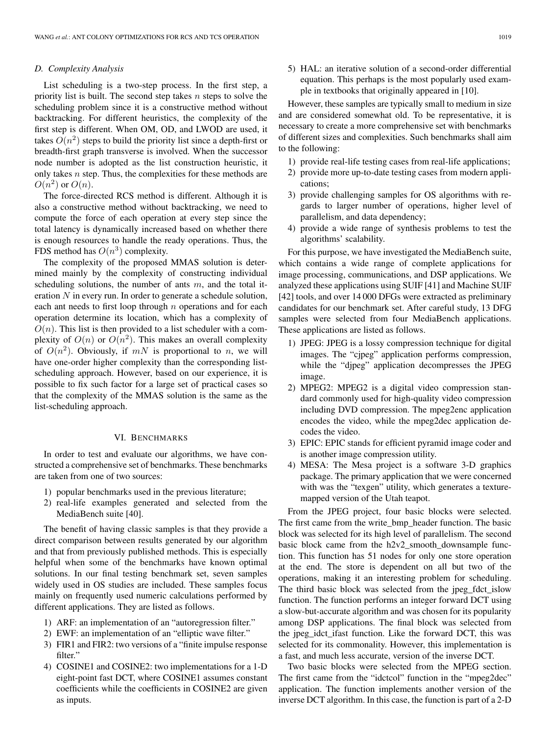## *D. Complexity Analysis*

List scheduling is a two-step process. In the first step, a priority list is built. The second step takes  $n$  steps to solve the scheduling problem since it is a constructive method without backtracking. For different heuristics, the complexity of the first step is different. When OM, OD, and LWOD are used, it takes  $O(n^2)$  steps to build the priority list since a depth-first or breadth-first graph transverse is involved. When the successor node number is adopted as the list construction heuristic, it only takes  $n$  step. Thus, the complexities for these methods are  $O(n^2)$  or  $O(n)$ .

The force-directed RCS method is different. Although it is also a constructive method without backtracking, we need to compute the force of each operation at every step since the total latency is dynamically increased based on whether there is enough resources to handle the ready operations. Thus, the FDS method has  $O(n^3)$  complexity.

The complexity of the proposed MMAS solution is determined mainly by the complexity of constructing individual scheduling solutions, the number of ants  $m$ , and the total iteration  $N$  in every run. In order to generate a schedule solution, each ant needs to first loop through  $n$  operations and for each operation determine its location, which has a complexity of  $O(n)$ . This list is then provided to a list scheduler with a complexity of  $O(n)$  or  $O(n^2)$ . This makes an overall complexity of  $O(n^2)$ . Obviously, if  $mN$  is proportional to n, we will have one-order higher complexity than the corresponding listscheduling approach. However, based on our experience, it is possible to fix such factor for a large set of practical cases so that the complexity of the MMAS solution is the same as the list-scheduling approach.

## VI. BENCHMARKS

In order to test and evaluate our algorithms, we have constructed a comprehensive set of benchmarks. These benchmarks are taken from one of two sources:

- 1) popular benchmarks used in the previous literature;
- 2) real-life examples generated and selected from the MediaBench suite [40].

The benefit of having classic samples is that they provide a direct comparison between results generated by our algorithm and that from previously published methods. This is especially helpful when some of the benchmarks have known optimal solutions. In our final testing benchmark set, seven samples widely used in OS studies are included. These samples focus mainly on frequently used numeric calculations performed by different applications. They are listed as follows.

- 1) ARF: an implementation of an "autoregression filter."
- 2) EWF: an implementation of an "elliptic wave filter."
- 3) FIR1 and FIR2: two versions of a "finite impulse response filter."
- 4) COSINE1 and COSINE2: two implementations for a 1-D eight-point fast DCT, where COSINE1 assumes constant coefficients while the coefficients in COSINE2 are given as inputs.

5) HAL: an iterative solution of a second-order differential equation. This perhaps is the most popularly used example in textbooks that originally appeared in [10].

However, these samples are typically small to medium in size and are considered somewhat old. To be representative, it is necessary to create a more comprehensive set with benchmarks of different sizes and complexities. Such benchmarks shall aim to the following:

- 1) provide real-life testing cases from real-life applications;
- 2) provide more up-to-date testing cases from modern applications;
- 3) provide challenging samples for OS algorithms with regards to larger number of operations, higher level of parallelism, and data dependency;
- 4) provide a wide range of synthesis problems to test the algorithms' scalability.

For this purpose, we have investigated the MediaBench suite, which contains a wide range of complete applications for image processing, communications, and DSP applications. We analyzed these applications using SUIF [41] and Machine SUIF [42] tools, and over 14 000 DFGs were extracted as preliminary candidates for our benchmark set. After careful study, 13 DFG samples were selected from four MediaBench applications. These applications are listed as follows.

- 1) JPEG: JPEG is a lossy compression technique for digital images. The "cjpeg" application performs compression, while the "djpeg" application decompresses the JPEG image.
- 2) MPEG2: MPEG2 is a digital video compression standard commonly used for high-quality video compression including DVD compression. The mpeg2enc application encodes the video, while the mpeg2dec application decodes the video.
- 3) EPIC: EPIC stands for efficient pyramid image coder and is another image compression utility.
- 4) MESA: The Mesa project is a software 3-D graphics package. The primary application that we were concerned with was the "texgen" utility, which generates a texturemapped version of the Utah teapot.

From the JPEG project, four basic blocks were selected. The first came from the write\_bmp\_header function. The basic block was selected for its high level of parallelism. The second basic block came from the h2v2\_smooth\_downsample function. This function has 51 nodes for only one store operation at the end. The store is dependent on all but two of the operations, making it an interesting problem for scheduling. The third basic block was selected from the jpeg\_fdct\_islow function. The function performs an integer forward DCT using a slow-but-accurate algorithm and was chosen for its popularity among DSP applications. The final block was selected from the jpeg idct ifast function. Like the forward DCT, this was selected for its commonality. However, this implementation is a fast, and much less accurate, version of the inverse DCT.

Two basic blocks were selected from the MPEG section. The first came from the "idctcol" function in the "mpeg2dec" application. The function implements another version of the inverse DCT algorithm. In this case, the function is part of a 2-D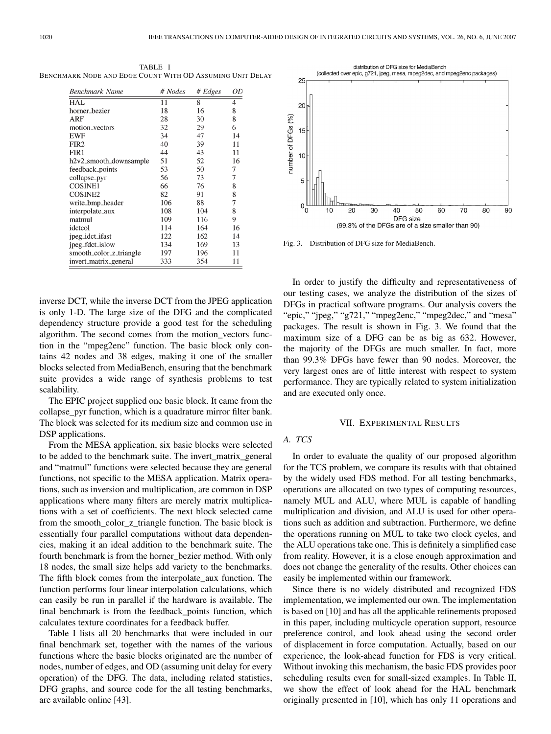TABLE I BENCHMARK NODE AND EDGE COUNT WITH OD ASSUMING UNIT DELAY

| <b>Benchmark Name</b>   | # Nodes | # Edges | OD |
|-------------------------|---------|---------|----|
| HAL                     | 11      | 8       | 4  |
| horner_bezier           | 18      | 16      | 8  |
| ARF                     | 28      | 30      | 8  |
| motion_vectors          | 32      | 29      | 6  |
| EWF                     | 34      | 47      | 14 |
| FIR <sub>2</sub>        | 40      | 39      | 11 |
| FIR1                    | 44      | 43      | 11 |
| h2v2_smooth_downsample  | 51      | 52      | 16 |
| feedback_points         | 53      | 50      | 7  |
| collapse_pyr            | 56      | 73      | 7  |
| <b>COSINE1</b>          | 66      | 76      | 8  |
| COSINE <sub>2</sub>     | 82      | 91      | 8  |
| write_bmp_header        | 106     | 88      | 7  |
| interpolate_aux         | 108     | 104     | 8  |
| matmul                  | 109     | 116     | 9  |
| idctcol                 | 114     | 164     | 16 |
| jpeg_idct_ifast         | 122     | 162     | 14 |
| jpeg_fdct_islow         | 134     | 169     | 13 |
| smooth_color_z_triangle | 197     | 196     | 11 |
| invert_matrix_general   | 333     | 354     | 11 |

inverse DCT, while the inverse DCT from the JPEG application is only 1-D. The large size of the DFG and the complicated dependency structure provide a good test for the scheduling algorithm. The second comes from the motion\_vectors function in the "mpeg2enc" function. The basic block only contains 42 nodes and 38 edges, making it one of the smaller blocks selected from MediaBench, ensuring that the benchmark suite provides a wide range of synthesis problems to test scalability.

The EPIC project supplied one basic block. It came from the collapse\_pyr function, which is a quadrature mirror filter bank. The block was selected for its medium size and common use in DSP applications.

From the MESA application, six basic blocks were selected to be added to the benchmark suite. The invert\_matrix\_general and "matmul" functions were selected because they are general functions, not specific to the MESA application. Matrix operations, such as inversion and multiplication, are common in DSP applications where many filters are merely matrix multiplications with a set of coefficients. The next block selected came from the smooth\_color\_z\_triangle function. The basic block is essentially four parallel computations without data dependencies, making it an ideal addition to the benchmark suite. The fourth benchmark is from the horner\_bezier method. With only 18 nodes, the small size helps add variety to the benchmarks. The fifth block comes from the interpolate\_aux function. The function performs four linear interpolation calculations, which can easily be run in parallel if the hardware is available. The final benchmark is from the feedback\_points function, which calculates texture coordinates for a feedback buffer.

Table I lists all 20 benchmarks that were included in our final benchmark set, together with the names of the various functions where the basic blocks originated are the number of nodes, number of edges, and OD (assuming unit delay for every operation) of the DFG. The data, including related statistics, DFG graphs, and source code for the all testing benchmarks, are available online [43].

distribution of DFG size for MediaBench (collected over epic, g721, jpeg, mesa, mpeg2dec, and mpeg2enc packages) 25 20 number of DFGs (%) 15  $10$ 5 20 30 40 50 70 80 90 1C 60 DFG size (99.3% of the DFGs are of a size smaller than 90)

Fig. 3. Distribution of DFG size for MediaBench.

In order to justify the difficulty and representativeness of our testing cases, we analyze the distribution of the sizes of DFGs in practical software programs. Our analysis covers the "epic," "jpeg," "g721," "mpeg2enc," "mpeg2dec," and "mesa" packages. The result is shown in Fig. 3. We found that the maximum size of a DFG can be as big as 632. However, the majority of the DFGs are much smaller. In fact, more than 99.3% DFGs have fewer than 90 nodes. Moreover, the very largest ones are of little interest with respect to system performance. They are typically related to system initialization and are executed only once.

## VII. EXPERIMENTAL RESULTS

# *A. TCS*

In order to evaluate the quality of our proposed algorithm for the TCS problem, we compare its results with that obtained by the widely used FDS method. For all testing benchmarks, operations are allocated on two types of computing resources, namely MUL and ALU, where MUL is capable of handling multiplication and division, and ALU is used for other operations such as addition and subtraction. Furthermore, we define the operations running on MUL to take two clock cycles, and the ALU operations take one. This is definitely a simplified case from reality. However, it is a close enough approximation and does not change the generality of the results. Other choices can easily be implemented within our framework.

Since there is no widely distributed and recognized FDS implementation, we implemented our own. The implementation is based on [10] and has all the applicable refinements proposed in this paper, including multicycle operation support, resource preference control, and look ahead using the second order of displacement in force computation. Actually, based on our experience, the look-ahead function for FDS is very critical. Without invoking this mechanism, the basic FDS provides poor scheduling results even for small-sized examples. In Table II, we show the effect of look ahead for the HAL benchmark originally presented in [10], which has only 11 operations and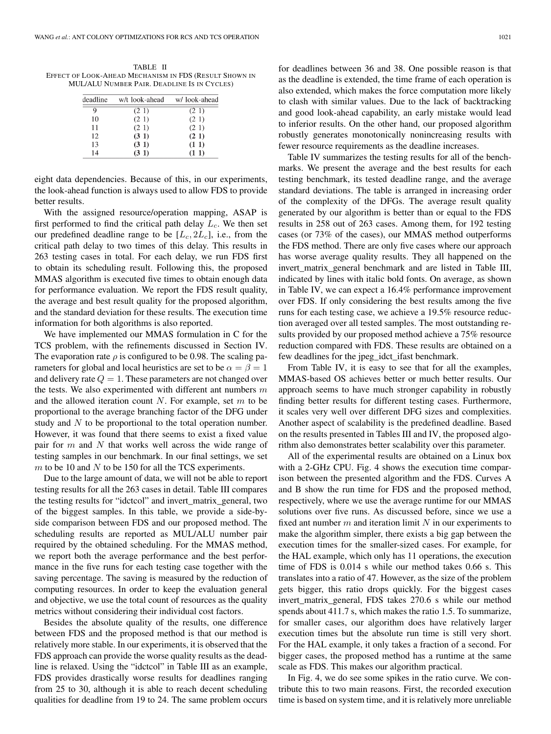TABLE II EFFECT OF LOOK-AHEAD MECHANISM IN FDS (RESULT SHOWN IN MUL/ALU NUMBER PAIR. DEADLINE IS IN CYCLES)

| deadline | w/t look-ahead | w/look-ahead |
|----------|----------------|--------------|
| 9        | (21)           | (21)         |
| 10       | (21)           | (21)         |
| 11       | (21)           | (21)         |
| 12       | (31)           | (21)         |
| 13       | (31)           | (11)         |
| 14       | (31)           | (1 1)        |

eight data dependencies. Because of this, in our experiments, the look-ahead function is always used to allow FDS to provide better results.

With the assigned resource/operation mapping, ASAP is first performed to find the critical path delay  $L_c$ . We then set our predefined deadline range to be  $[L_c, 2L_c]$ , i.e., from the critical path delay to two times of this delay. This results in 263 testing cases in total. For each delay, we run FDS first to obtain its scheduling result. Following this, the proposed MMAS algorithm is executed five times to obtain enough data for performance evaluation. We report the FDS result quality, the average and best result quality for the proposed algorithm, and the standard deviation for these results. The execution time information for both algorithms is also reported.

We have implemented our MMAS formulation in C for the TCS problem, with the refinements discussed in Section IV. The evaporation rate  $\rho$  is configured to be 0.98. The scaling parameters for global and local heuristics are set to be  $\alpha = \beta = 1$ and delivery rate  $Q = 1$ . These parameters are not changed over the tests. We also experimented with different ant numbers  $m$ and the allowed iteration count N. For example, set  $m$  to be proportional to the average branching factor of the DFG under study and  $N$  to be proportional to the total operation number. However, it was found that there seems to exist a fixed value pair for  $m$  and  $N$  that works well across the wide range of testing samples in our benchmark. In our final settings, we set  $m$  to be 10 and  $N$  to be 150 for all the TCS experiments.

Due to the large amount of data, we will not be able to report testing results for all the 263 cases in detail. Table III compares the testing results for "idctcol" and invert\_matrix\_general, two of the biggest samples. In this table, we provide a side-byside comparison between FDS and our proposed method. The scheduling results are reported as MUL/ALU number pair required by the obtained scheduling. For the MMAS method, we report both the average performance and the best performance in the five runs for each testing case together with the saving percentage. The saving is measured by the reduction of computing resources. In order to keep the evaluation general and objective, we use the total count of resources as the quality metrics without considering their individual cost factors.

Besides the absolute quality of the results, one difference between FDS and the proposed method is that our method is relatively more stable. In our experiments, it is observed that the FDS approach can provide the worse quality results as the deadline is relaxed. Using the "idctcol" in Table III as an example, FDS provides drastically worse results for deadlines ranging from 25 to 30, although it is able to reach decent scheduling qualities for deadline from 19 to 24. The same problem occurs

for deadlines between 36 and 38. One possible reason is that as the deadline is extended, the time frame of each operation is also extended, which makes the force computation more likely to clash with similar values. Due to the lack of backtracking and good look-ahead capability, an early mistake would lead to inferior results. On the other hand, our proposed algorithm robustly generates monotonically nonincreasing results with fewer resource requirements as the deadline increases.

Table IV summarizes the testing results for all of the benchmarks. We present the average and the best results for each testing benchmark, its tested deadline range, and the average standard deviations. The table is arranged in increasing order of the complexity of the DFGs. The average result quality generated by our algorithm is better than or equal to the FDS results in 258 out of 263 cases. Among them, for 192 testing cases (or 73% of the cases), our MMAS method outperforms the FDS method. There are only five cases where our approach has worse average quality results. They all happened on the invert\_matrix\_general benchmark and are listed in Table III, indicated by lines with italic bold fonts. On average, as shown in Table IV, we can expect a 16.4% performance improvement over FDS. If only considering the best results among the five runs for each testing case, we achieve a 19.5% resource reduction averaged over all tested samples. The most outstanding results provided by our proposed method achieve a 75% resource reduction compared with FDS. These results are obtained on a few deadlines for the jpeg\_idct\_ifast benchmark.

From Table IV, it is easy to see that for all the examples, MMAS-based OS achieves better or much better results. Our approach seems to have much stronger capability in robustly finding better results for different testing cases. Furthermore, it scales very well over different DFG sizes and complexities. Another aspect of scalability is the predefined deadline. Based on the results presented in Tables III and IV, the proposed algorithm also demonstrates better scalability over this parameter.

All of the experimental results are obtained on a Linux box with a 2-GHz CPU. Fig. 4 shows the execution time comparison between the presented algorithm and the FDS. Curves A and B show the run time for FDS and the proposed method, respectively, where we use the average runtime for our MMAS solutions over five runs. As discussed before, since we use a fixed ant number  $m$  and iteration limit  $N$  in our experiments to make the algorithm simpler, there exists a big gap between the execution times for the smaller-sized cases. For example, for the HAL example, which only has 11 operations, the execution time of FDS is 0.014 s while our method takes 0.66 s. This translates into a ratio of 47. However, as the size of the problem gets bigger, this ratio drops quickly. For the biggest cases invert\_matrix\_general, FDS takes 270.6 s while our method spends about 411.7 s, which makes the ratio 1.5. To summarize, for smaller cases, our algorithm does have relatively larger execution times but the absolute run time is still very short. For the HAL example, it only takes a fraction of a second. For bigger cases, the proposed method has a runtime at the same scale as FDS. This makes our algorithm practical.

In Fig. 4, we do see some spikes in the ratio curve. We contribute this to two main reasons. First, the recorded execution time is based on system time, and it is relatively more unreliable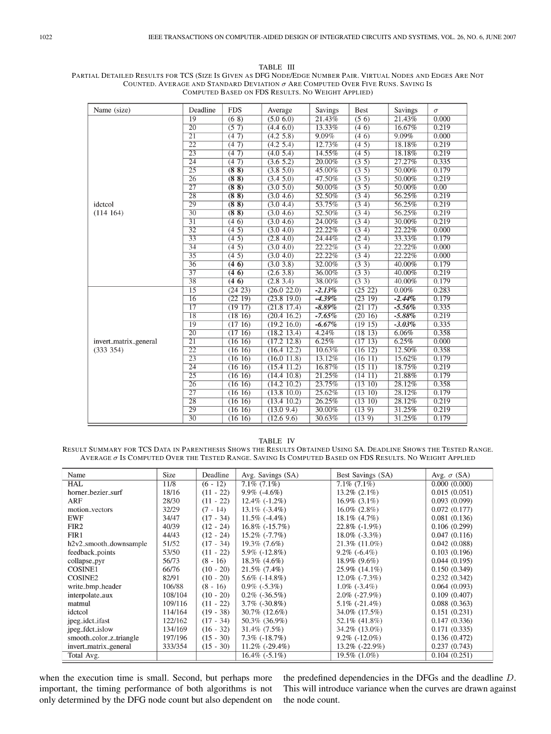| Name (size)           | Deadline        | <b>FDS</b> | Average         | Savings   | <b>Best</b> | Savings   | $\sigma$ |
|-----------------------|-----------------|------------|-----------------|-----------|-------------|-----------|----------|
|                       | 19              | (68)       | (5.06.0)        | 21.43%    | (56)        | 21.43%    | 0.000    |
|                       | $\overline{20}$ | (57)       | (4.4, 6.0)      | 13.33%    | (46)        | 16.67%    | 0.219    |
|                       | $\overline{21}$ | (47)       | (4.25.8)        | 9.09%     | (46)        | 9.09%     | 0.000    |
|                       | 22              | (47)       | (4.2, 5.4)      | 12.73%    | (45)        | 18.18%    | 0.219    |
|                       | $\overline{23}$ | (47)       | (4.05.4)        | 14.55%    | (45)        | 18.18%    | 0.219    |
|                       | 24              | (47)       | (3.65.2)        | 20.00%    | (35)        | 27.27%    | 0.335    |
|                       | $\overline{25}$ | (88)       | (3.85.0)        | 45.00%    | (35)        | 50.00%    | 0.179    |
|                       | $\overline{26}$ | (88)       | (3.45.0)        | 47.50%    | (35)        | 50.00%    | 0.219    |
|                       | $\overline{27}$ | (88)       | (3.05.0)        | 50.00%    | (35)        | 50.00%    | 0.00     |
|                       | 28              | (88)       | (3.04.6)        | 52.50%    | (34)        | 56.25%    | 0.219    |
| idctcol               | 29              | (88)       | (3.04.4)        | 53.75%    | (34)        | 56.25%    | 0.219    |
| (114164)              | $\overline{30}$ | (88)       | (3.04.6)        | 52.50%    | (34)        | 56.25%    | 0.219    |
|                       | $\overline{31}$ | (46)       | (3.04.6)        | 24.00%    | (34)        | 30.00%    | 0.219    |
|                       | $\overline{32}$ | (45)       | (3.0 4.0)       | 22.22%    | (34)        | 22.22%    | 0.000    |
|                       | $\overline{33}$ | (45)       | (2.84.0)        | 24.44%    | (24)        | 33.33%    | 0.179    |
|                       | $\overline{34}$ | (45)       | (3.0 4.0)       | 22.22%    | (34)        | 22.22%    | 0.000    |
|                       | $\overline{35}$ | (45)       | (3.04.0)        | 22.22%    | (34)        | 22.22%    | 0.000    |
|                       | $\overline{36}$ | (46)       | (3.03.8)        | 32.00%    | (33)        | 40.00%    | 0.179    |
|                       | 37              | (46)       | (2.6, 3.8)      | 36.00%    | (33)        | 40.00%    | 0.219    |
|                       | $\overline{38}$ | (46)       | (2.8, 3.4)      | 38.00%    | (33)        | 40.00%    | 0.179    |
|                       | $\overline{15}$ | (2423)     | (26.0 22.0)     | $-2.13%$  | (2522)      | $0.00\%$  | 0.283    |
|                       | 16              | (2219)     | (23.8 19.0)     | $-4.39\%$ | (2319)      | $-2.44%$  | 0.179    |
|                       | $\overline{17}$ | (1917)     | (21.8 17.4)     | $-8.89\%$ | (2117)      | $-5.56\%$ | 0.335    |
|                       | 18              | (1816)     | (20.4 16.2)     | $-7.65\%$ | (2016)      | $-5.88\%$ | 0.219    |
|                       | $\overline{19}$ | (1716)     | (19.2 16.0)     | $-6.67%$  | (1915)      | $-3.03%$  | 0.335    |
|                       | $\overline{20}$ | (1716)     | (18.2 13.4)     | 4.24%     | (1813)      | 6.06%     | 0.358    |
| invert_matrix_general | $\overline{21}$ | (1616)     | (17.2 12.8)     | 6.25%     | (1713)      | 6.25%     | 0.000    |
| (333 354)             | $\overline{22}$ | (1616)     | (16.4 12.2)     | 10.63%    | (1612)      | 12.50%    | 0.358    |
|                       | $\overline{23}$ | (1616)     | (16.0 11.8)     | 13.12%    | (1611)      | 15.62%    | 0.179    |
|                       | $\overline{24}$ | (1616)     | $(15.4 \t11.2)$ | 16.87%    | (1511)      | 18.75%    | 0.219    |
|                       | $\overline{25}$ | (1616)     | (14.4 10.8)     | 21.25%    | (1411)      | 21.88%    | 0.179    |
|                       | $\overline{26}$ | (1616)     | (14.2 10.2)     | 23.75%    | (1310)      | 28.12%    | 0.358    |
|                       | $\overline{27}$ | (1616)     | (13.8 10.0)     | 25.62%    | (1310)      | 28.12%    | 0.179    |
|                       | $\overline{28}$ | (1616)     | (13.4 10.2)     | 26.25%    | (1310)      | 28.12%    | 0.219    |
|                       | 29              | (1616)     | (13.09.4)       | 30.00%    | (139)       | 31.25%    | 0.219    |
|                       | $\overline{30}$ | (1616)     | (12.69.6)       | 30.63%    | (139)       | 31.25%    | 0.179    |

TABLE III PARTIAL DETAILED RESULTS FOR TCS (SIZE IS GIVEN AS DFG NODE/EDGE NUMBER PAIR. VIRTUAL NODES AND EDGES ARE NOT COUNTED. AVERAGE AND STANDARD DEVIATION  $\sigma$  ARE COMPUTED OVER FIVE RUNS. SAVING Is COMPUTED BASED ON FDS RESULTS. NO WEIGHT APPLIED)

TABLE IV

RESULT SUMMARY FOR TCS DATA IN PARENTHESIS SHOWS THE RESULTS OBTAINED USING SA. DEADLINE SHOWS THE TESTED RANGE. AVERAGE σ IS COMPUTED OVER THE TESTED RANGE. SAVING IS COMPUTED BASED ON FDS RESULTS. NO WEIGHT APPLIED

| Name                    | <b>Size</b> | Deadline    | Avg. Savings (SA)  | Best Savings (SA)          | Avg. $\sigma$ (SA) |
|-------------------------|-------------|-------------|--------------------|----------------------------|--------------------|
| <b>HAL</b>              | 11/8        | $(6 - 12)$  | $7.1\%$ $(7.1\%)$  | $7.1\%$ $(7.1\%)$          | 0.000(0.000)       |
| horner_bezier_surf      | 18/16       | $(11 - 22)$ | $9.9\%$ (-4.6%)    | $13.2\%$ $(2.1\%)$         | 0.015(0.051)       |
| ARF                     | 28/30       | $(11 - 22)$ | $12.4\%$ (-1.2\%)  | $16.9\%$ $(3.1\%)$         | 0.093(0.099)       |
| motion_vectors          | 32/29       | $(7 - 14)$  | $13.1\%$ (-3.4%)   | $16.0\%$ $(2.8\%)$         | 0.072(0.177)       |
| <b>EWF</b>              | 34/47       | $(17 - 34)$ | $11.5\%$ (-4.4%)   | 18.1% (4.7%)               | 0.081(0.136)       |
| FIR <sub>2</sub>        | 40/39       | $(12 - 24)$ | $16.8\%$ (-15.7%)  | $22.8\%$ (-1.9%)           | 0.106(0.299)       |
| FIR1                    | 44/43       | $(12 - 24)$ | $15.2\%$ (-7.7%)   | $18.0\%$ (-3.3%)           | 0.047(0.116)       |
| h2v2_smooth_downsample  | 51/52       | $(17 - 34)$ | $19.3\%$ $(7.6\%)$ | 21.3% (11.0%)              | 0.042(0.088)       |
| feedback_points         | 53/50       | $(11 - 22)$ | $5.9\%$ (-12.8%)   | $9.2\%$ (-6.4%)            | 0.103(0.196)       |
| collapse_pyr            | 56/73       | $(8 - 16)$  | $18.3\%$ $(4.6\%)$ | $18.9\%$ (9.6%)            | 0.044(0.195)       |
| <b>COSINE1</b>          | 66/76       | $(10 - 20)$ | $21.5\%$ $(7.4\%)$ | 25.9% (14.1%)              | 0.150(0.349)       |
| COSINE <sub>2</sub>     | 82/91       | $(10 - 20)$ | $5.6\%$ (-14.8%)   | $12.0\%$ (-7.3%)           | 0.232(0.342)       |
| write_bmp_header        | 106/88      | $(8 - 16)$  | $0.9\%$ (-5.3\%)   | $1.0\%$ (-3.4%)            | 0.064(0.093)       |
| interpolate_aux         | 108/104     | $(10 - 20)$ | $0.2\%$ (-36.5%)   | $2.0\%$ (-27.9%)           | 0.109(0.407)       |
| matmul                  | 109/116     | $(11 - 22)$ | $3.7\%$ (-30.8%)   | $5.1\%$ (-21.4%)           | 0.088(0.363)       |
| idctcol                 | 114/164     | $(19 - 38)$ | 30.7% (12.6%)      | 34.0% (17.5%)              | 0.151(0.231)       |
| jpeg_idct_ifast         | 122/162     | $(17 - 34)$ | 50.3% (36.9%)      | 52.1\% (41.8\%)            | 0.147(0.336)       |
| jpeg_fdct_islow         | 134/169     | $(16 - 32)$ | $31.4\%$ $(7.5\%)$ | 34.2\% (13.0\%)            | 0.171(0.335)       |
| smooth_color_z_triangle | 197/196     | $(15 - 30)$ | $7.3\%$ (-18.7%)   | $9.2\%$ (-12.0%)           | 0.136(0.472)       |
| invert_matrix_general   | 333/354     | $(15 - 30)$ | 11.2% (-29.4%)     | 13.2% (-22.9%)             | 0.237(0.743)       |
| Total Avg.              |             |             | $16.4\%$ (-5.1%)   | $\overline{19.5\%}$ (1.0%) | 0.104(0.251)       |

when the execution time is small. Second, but perhaps more important, the timing performance of both algorithms is not only determined by the DFG node count but also dependent on the predefined dependencies in the DFGs and the deadline D. This will introduce variance when the curves are drawn against the node count.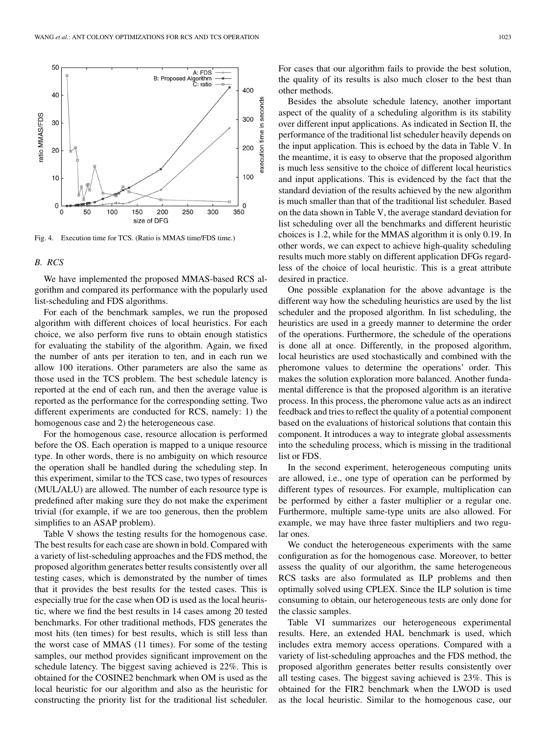

Fig. 4. Execution time for TCS. (Ratio is MMAS time/FDS time.)

# *B. RCS*

We have implemented the proposed MMAS-based RCS algorithm and compared its performance with the popularly used list-scheduling and FDS algorithms.

For each of the benchmark samples, we run the proposed algorithm with different choices of local heuristics. For each choice, we also perform five runs to obtain enough statistics for evaluating the stability of the algorithm. Again, we fixed the number of ants per iteration to ten, and in each run we allow 100 iterations. Other parameters are also the same as those used in the TCS problem. The best schedule latency is reported at the end of each run, and then the average value is reported as the performance for the corresponding setting. Two different experiments are conducted for RCS, namely: 1) the homogenous case and 2) the heterogeneous case.

For the homogenous case, resource allocation is performed before the OS. Each operation is mapped to a unique resource type. In other words, there is no ambiguity on which resource the operation shall be handled during the scheduling step. In this experiment, similar to the TCS case, two types of resources (MUL/ALU) are allowed. The number of each resource type is predefined after making sure they do not make the experiment trivial (for example, if we are too generous, then the problem simplifies to an ASAP problem).

Table V shows the testing results for the homogenous case. The best results for each case are shown in bold. Compared with a variety of list-scheduling approaches and the FDS method, the proposed algorithm generates better results consistently over all testing cases, which is demonstrated by the number of times that it provides the best results for the tested cases. This is especially true for the case when OD is used as the local heuristic, where we find the best results in 14 cases among 20 tested benchmarks. For other traditional methods, FDS generates the most hits (ten times) for best results, which is still less than the worst case of MMAS (11 times). For some of the testing samples, our method provides significant improvement on the schedule latency. The biggest saving achieved is 22%. This is obtained for the COSINE2 benchmark when OM is used as the local heuristic for our algorithm and also as the heuristic for constructing the priority list for the traditional list scheduler. For cases that our algorithm fails to provide the best solution, the quality of its results is also much closer to the best than other methods.

Besides the absolute schedule latency, another important aspect of the quality of a scheduling algorithm is its stability over different input applications. As indicated in Section II, the performance of the traditional list scheduler heavily depends on the input application. This is echoed by the data in Table V. In the meantime, it is easy to observe that the proposed algorithm is much less sensitive to the choice of different local heuristics and input applications. This is evidenced by the fact that the standard deviation of the results achieved by the new algorithm is much smaller than that of the traditional list scheduler. Based on the data shown in Table V, the average standard deviation for list scheduling over all the benchmarks and different heuristic choices is 1.2, while for the MMAS algorithm it is only 0.19. In other words, we can expect to achieve high-quality scheduling results much more stably on different application DFGs regardless of the choice of local heuristic. This is a great attribute desired in practice.

One possible explanation for the above advantage is the different way how the scheduling heuristics are used by the list scheduler and the proposed algorithm. In list scheduling, the heuristics are used in a greedy manner to determine the order of the operations. Furthermore, the schedule of the operations is done all at once. Differently, in the proposed algorithm, local heuristics are used stochastically and combined with the pheromone values to determine the operations' order. This makes the solution exploration more balanced. Another fundamental difference is that the proposed algorithm is an iterative process. In this process, the pheromone value acts as an indirect feedback and tries to reflect the quality of a potential component based on the evaluations of historical solutions that contain this component. It introduces a way to integrate global assessments into the scheduling process, which is missing in the traditional list or FDS.

In the second experiment, heterogeneous computing units are allowed, i.e., one type of operation can be performed by different types of resources. For example, multiplication can be performed by either a faster multiplier or a regular one. Furthermore, multiple same-type units are also allowed. For example, we may have three faster multipliers and two regular ones.

We conduct the heterogeneous experiments with the same configuration as for the homogenous case. Moreover, to better assess the quality of our algorithm, the same heterogeneous RCS tasks are also formulated as ILP problems and then optimally solved using CPLEX. Since the ILP solution is time consuming to obtain, our heterogeneous tests are only done for the classic samples.

Table VI summarizes our heterogeneous experimental results. Here, an extended HAL benchmark is used, which includes extra memory access operations. Compared with a variety of list-scheduling approaches and the FDS method, the proposed algorithm generates better results consistently over all testing cases. The biggest saving achieved is 23%. This is obtained for the FIR2 benchmark when the LWOD is used as the local heuristic. Similar to the homogenous case, our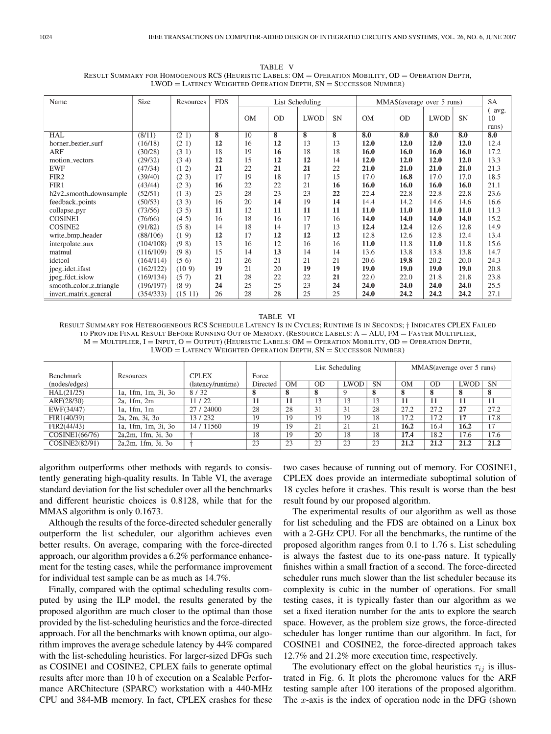TABLE V RESULT SUMMARY FOR HOMOGENOUS RCS (HEURISTIC LABELS: OM = OPERATION MOBILITY, OD = OPERATION DEPTH,  $LWOD = L$ ATENCY WEIGHTED OPERATION DEPTH,  $SN = S$ UCCESSOR NUMBER)

| Name                    | Size      | Resources | <b>FDS</b>              |           |                         | List Scheduling         |                         |             | MMAS(average over 5 runs) |             |           |                     |
|-------------------------|-----------|-----------|-------------------------|-----------|-------------------------|-------------------------|-------------------------|-------------|---------------------------|-------------|-----------|---------------------|
|                         |           |           |                         | <b>OM</b> | <b>OD</b>               | <b>LWOD</b>             | <b>SN</b>               | OM          | <b>OD</b>                 | <b>LWOD</b> | <b>SN</b> | avg.<br>10<br>runs) |
| <b>HAL</b>              | (8/11)    | (21)      | $\overline{\mathbf{8}}$ | 10        | $\overline{\mathbf{8}}$ | $\overline{\mathbf{8}}$ | $\overline{\mathbf{s}}$ | 8.0         | 8.0                       | 8.0         | 8.0       | 8.0                 |
| horner_bezier_surf      | (16/18)   | (21)      | 12                      | 16        | 12                      | 13                      | 13                      | 12.0        | 12.0                      | 12.0        | 12.0      | 12.4                |
| <b>ARF</b>              | (30/28)   | (3 1)     | 18                      | 19        | 16                      | 18                      | 18                      | 16.0        | 16.0                      | 16.0        | 16.0      | 17.2                |
| motion_vectors          | (29/32)   | (34)      | 12                      | 15        | 12                      | 12                      | 14                      | 12.0        | 12.0                      | 12.0        | 12.0      | 13.3                |
| <b>EWF</b>              | (47/34)   | (12)      | 21                      | 22        | 21                      | 21                      | 22                      | 21.0        | 21.0                      | 21.0        | 21.0      | 21.3                |
| FIR2                    | (39/40)   | (23)      | 17                      | 19        | 18                      | 17                      | 15                      | 17.0        | 16.8                      | 17.0        | 17.0      | 18.5                |
| FIR1                    | (43/44)   | (23)      | 16                      | 22        | 22                      | 21                      | 16                      | 16.0        | 16.0                      | 16.0        | 16.0      | 21.1                |
| h2v2_smooth_downsample  | (52/51)   | (13)      | 23                      | 28        | 23                      | 23                      | 22                      | 22.4        | 22.8                      | 22.8        | 22.8      | 23.6                |
| feedback_points         | (50/53)   | (33)      | 16                      | 20        | 14                      | 19                      | 14                      | 14.4        | 14.2                      | 14.6        | 14.6      | 16.6                |
| collapse_pyr            | (73/56)   | (3 5)     | 11                      | 12        | 11                      | 11                      | 11                      | <b>11.0</b> | 11.0                      | 11.0        | 11.0      | 11.3                |
| <b>COSINE1</b>          | (76/66)   | (45)      | 16                      | 18        | 16                      | 17                      | 16                      | 14.0        | 14.0                      | 14.0        | 14.0      | 15.2                |
| COSINE <sub>2</sub>     | (91/82)   | (58)      | 14                      | 18        | 14                      | 17                      | 13                      | 12.4        | 12.4                      | 12.6        | 12.8      | 14.9                |
| write_bmp_header        | (88/106)  | (19)      | 12                      | 17        | 12                      | 12                      | 12                      | 12.8        | 12.6                      | 12.8        | 12.4      | 13.4                |
| interpolate_aux         | (104/108) | (98)      | 13                      | 16        | 12                      | 16                      | 16                      | <b>11.0</b> | 11.8                      | 11.0        | 11.8      | 15.6                |
| matmul                  | (116/109) | (98)      | 15                      | 14        | 13                      | 14                      | 14                      | 13.6        | 13.8                      | 13.8        | 13.8      | 14.7                |
| idctcol                 | (164/114) | (56)      | 21                      | 26        | 21                      | 21                      | 21                      | 20.6        | 19.8                      | 20.2        | 20.0      | 24.3                |
| jpeg_idct_ifast         | (162/122) | (109)     | 19                      | 21        | 20                      | 19                      | 19                      | 19.0        | 19.0                      | 19.0        | 19.0      | 20.8                |
| jpeg_fdct_islow         | (169/134) | (57)      | 21                      | 28        | 22                      | 22                      | 21                      | 22.0        | 22.0                      | 21.8        | 21.8      | 23.8                |
| smooth_color_z_triangle | (196/197) | (89)      | 24                      | 25        | 25                      | 23                      | 24                      | 24.0        | 24.0                      | 24.0        | 24.0      | 25.5                |
| invert_matrix_general   | (354/333) | (1511)    | 26                      | 28        | 28                      | 25                      | 25                      | 24.0        | 24.2                      | 24.2        | 24.2      | 27.1                |

TABLE VI

RESULT SUMMARY FOR HETEROGENEOUS RCS SCHEDULE LATENCY IS IN CYCLES; RUNTIME IS IN SECONDS; *†* INDICATES CPLEX FAILED TO PROVIDE FINAL RESULT BEFORE RUNNING OUT OF MEMORY. (RESOURCE LABELS: A = ALU, FM = FASTER MULTIPLIER, M = MULTIPLIER, I = INPUT, O = OUTPUT) (HEURISTIC LABELS: OM = OPERATION MOBILITY, OD = OPERATION DEPTH,  $LWOD = L$ atency Weighted Operation Depth,  $SN = SUCC2SOR$  Number)

|                |                     |                   |          | List Scheduling |                 |             |                 | MMAS (average over 5 runs) |      |             |           |
|----------------|---------------------|-------------------|----------|-----------------|-----------------|-------------|-----------------|----------------------------|------|-------------|-----------|
| Benchmark      | Resources           | <b>CPLEX</b>      | Force    |                 |                 |             |                 |                            |      |             |           |
| (nodes/edges)  |                     | (latency/runtime) | Directed | OМ              | <b>OD</b>       | <b>LWOD</b> | <b>SN</b>       | <b>OM</b>                  | OD   | <b>LWOD</b> | <b>SN</b> |
| HAL(21/25)     | 1a, 1fm, 1m, 3i, 3o | 8/32              |          |                 | 8               |             |                 | 8                          |      | 8           | 8         |
| ARF(28/30)     | $2a$ , 1fm, $2m$    | 11 / 22           | 11       | 11              | 13              | 13          | 13              | 11                         | 11   | 11          | 11        |
| EWF(34/47)     | 1a. 1fm. 1m         | 27 / 24000        | 28       | 28              | 31              | 31          | 28              | 27.2                       | 27.2 | 27          | 27.2      |
| FIR1(40/39)    | 2a, 2m, 3i, 3o      | 13/232            | 19       | 19              | 19              | 19          | 18              | 17.2                       | 17.2 | 17          | 17.8      |
| FIR2(44/43)    | 1a, 1fm, 1m, 3i, 3o | 14 / 11560        | 19       | 19              | 21              | 21          | 21              | 16.2                       | 16.4 | 16.2        | 17        |
| COSINE1(66/76) | 2a, 2m, 1fm, 3i, 3o |                   | 18       | 19              | 20              | 18          | 18              | 17.4                       | 18.2 | 17.6        | 17.6      |
| COSINE2(82/91) | 2a, 2m, 1fm, 3i, 3o |                   | 23       | 23              | $\overline{23}$ | 23          | $\overline{23}$ | 21.2                       | 21.2 | 21.2        | 21.2      |

algorithm outperforms other methods with regards to consistently generating high-quality results. In Table VI, the average standard deviation for the list scheduler over all the benchmarks and different heuristic choices is 0.8128, while that for the MMAS algorithm is only 0.1673.

Although the results of the force-directed scheduler generally outperform the list scheduler, our algorithm achieves even better results. On average, comparing with the force-directed approach, our algorithm provides a 6.2% performance enhancement for the testing cases, while the performance improvement for individual test sample can be as much as 14.7%.

Finally, compared with the optimal scheduling results computed by using the ILP model, the results generated by the proposed algorithm are much closer to the optimal than those provided by the list-scheduling heuristics and the force-directed approach. For all the benchmarks with known optima, our algorithm improves the average schedule latency by 44% compared with the list-scheduling heuristics. For larger-sized DFGs such as COSINE1 and COSINE2, CPLEX fails to generate optimal results after more than 10 h of execution on a Scalable Performance ARChitecture (SPARC) workstation with a 440-MHz CPU and 384-MB memory. In fact, CPLEX crashes for these two cases because of running out of memory. For COSINE1, CPLEX does provide an intermediate suboptimal solution of 18 cycles before it crashes. This result is worse than the best result found by our proposed algorithm.

The experimental results of our algorithm as well as those for list scheduling and the FDS are obtained on a Linux box with a 2-GHz CPU. For all the benchmarks, the runtime of the proposed algorithm ranges from 0.1 to 1.76 s. List scheduling is always the fastest due to its one-pass nature. It typically finishes within a small fraction of a second. The force-directed scheduler runs much slower than the list scheduler because its complexity is cubic in the number of operations. For small testing cases, it is typically faster than our algorithm as we set a fixed iteration number for the ants to explore the search space. However, as the problem size grows, the force-directed scheduler has longer runtime than our algorithm. In fact, for COSINE1 and COSINE2, the force-directed approach takes 12.7% and 21.2% more execution time, respectively.

The evolutionary effect on the global heuristics  $\tau_{ij}$  is illustrated in Fig. 6. It plots the pheromone values for the ARF testing sample after 100 iterations of the proposed algorithm. The  $x$ -axis is the index of operation node in the DFG (shown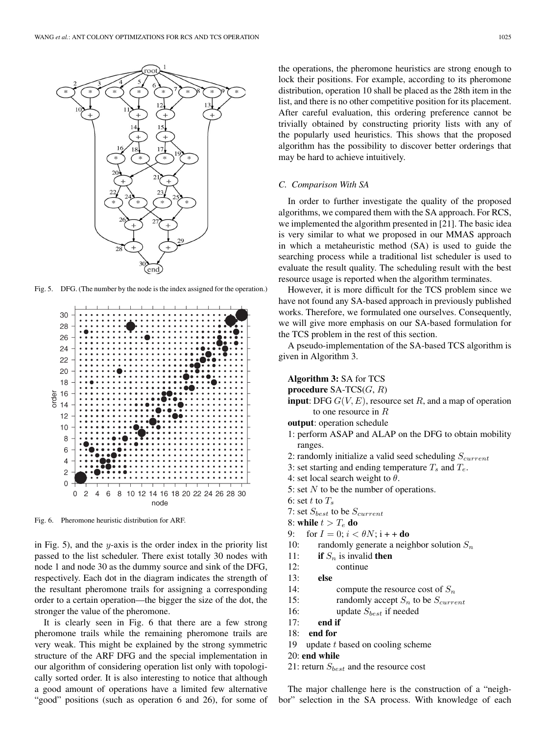

Fig. 5. DFG. (The number by the node is the index assigned for the operation.)



Fig. 6. Pheromone heuristic distribution for ARF.

in Fig. 5), and the  $y$ -axis is the order index in the priority list passed to the list scheduler. There exist totally 30 nodes with node 1 and node 30 as the dummy source and sink of the DFG, respectively. Each dot in the diagram indicates the strength of the resultant pheromone trails for assigning a corresponding order to a certain operation—the bigger the size of the dot, the stronger the value of the pheromone.

It is clearly seen in Fig. 6 that there are a few strong pheromone trails while the remaining pheromone trails are very weak. This might be explained by the strong symmetric structure of the ARF DFG and the special implementation in our algorithm of considering operation list only with topologically sorted order. It is also interesting to notice that although a good amount of operations have a limited few alternative "good" positions (such as operation 6 and 26), for some of

the operations, the pheromone heuristics are strong enough to lock their positions. For example, according to its pheromone distribution, operation 10 shall be placed as the 28th item in the list, and there is no other competitive position for its placement. After careful evaluation, this ordering preference cannot be trivially obtained by constructing priority lists with any of the popularly used heuristics. This shows that the proposed algorithm has the possibility to discover better orderings that may be hard to achieve intuitively.

## *C. Comparison With SA*

In order to further investigate the quality of the proposed algorithms, we compared them with the SA approach. For RCS, we implemented the algorithm presented in [21]. The basic idea is very similar to what we proposed in our MMAS approach in which a metaheuristic method (SA) is used to guide the searching process while a traditional list scheduler is used to evaluate the result quality. The scheduling result with the best resource usage is reported when the algorithm terminates.

However, it is more difficult for the TCS problem since we have not found any SA-based approach in previously published works. Therefore, we formulated one ourselves. Consequently, we will give more emphasis on our SA-based formulation for the TCS problem in the rest of this section.

A pseudo-implementation of the SA-based TCS algorithm is given in Algorithm 3.

**Algorithm 3:** SA for TCS

- **procedure** SA-TCS(G, R)
- **input**: DFG  $G(V, E)$ , resource set R, and a map of operation to one resource in R
- **output**: operation schedule
- 1: perform ASAP and ALAP on the DFG to obtain mobility ranges.
- 2: randomly initialize a valid seed scheduling  $S_{current}$
- 3: set starting and ending temperature  $T_s$  and  $T_e$ .
- 4: set local search weight to  $\theta$ .
- 5: set  $N$  to be the number of operations.
- 6: set t to  $T_s$
- 7: set  $S_{best}$  to be  $S_{current}$
- 8: **while**  $t > T_e$  **do**
- 9: for  $I = 0$ ;  $i < \theta N$ ; i + + **do**
- 10: randomly generate a neighbor solution  $S_n$
- 11: **if**  $S_n$  is invalid **then**
- 12: continue
- 13: **else**
- 14: compute the resource cost of  $S_n$
- 15: randomly accept  $S_n$  to be  $S_{current}$
- 16: update  $S_{best}$  if needed
- 17: **end if**
- 18: **end for**
- 19 update  $t$  based on cooling scheme
- 20: **end while**
- 21: return  $S_{best}$  and the resource cost

The major challenge here is the construction of a "neighbor" selection in the SA process. With knowledge of each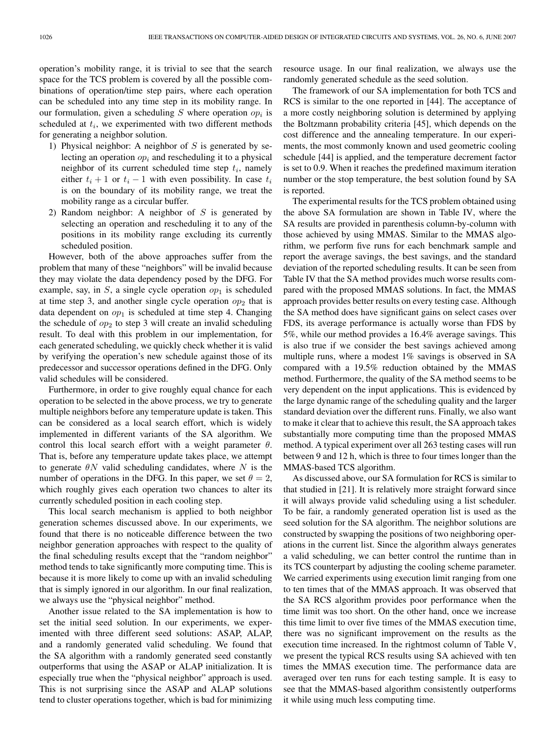operation's mobility range, it is trivial to see that the search space for the TCS problem is covered by all the possible combinations of operation/time step pairs, where each operation can be scheduled into any time step in its mobility range. In our formulation, given a scheduling  $S$  where operation  $op_i$  is scheduled at  $t_i$ , we experimented with two different methods for generating a neighbor solution.

- 1) Physical neighbor: A neighbor of  $S$  is generated by selecting an operation  $op_i$  and rescheduling it to a physical neighbor of its current scheduled time step  $t_i$ , namely either  $t_i + 1$  or  $t_i - 1$  with even possibility. In case  $t_i$ is on the boundary of its mobility range, we treat the mobility range as a circular buffer.
- 2) Random neighbor: A neighbor of  $S$  is generated by selecting an operation and rescheduling it to any of the positions in its mobility range excluding its currently scheduled position.

However, both of the above approaches suffer from the problem that many of these "neighbors" will be invalid because they may violate the data dependency posed by the DFG. For example, say, in  $S$ , a single cycle operation  $op_1$  is scheduled at time step 3, and another single cycle operation  $op<sub>2</sub>$  that is data dependent on  $op_1$  is scheduled at time step 4. Changing the schedule of  $op_2$  to step 3 will create an invalid scheduling result. To deal with this problem in our implementation, for each generated scheduling, we quickly check whether it is valid by verifying the operation's new schedule against those of its predecessor and successor operations defined in the DFG. Only valid schedules will be considered.

Furthermore, in order to give roughly equal chance for each operation to be selected in the above process, we try to generate multiple neighbors before any temperature update is taken. This can be considered as a local search effort, which is widely implemented in different variants of the SA algorithm. We control this local search effort with a weight parameter  $\theta$ . That is, before any temperature update takes place, we attempt to generate  $\theta N$  valid scheduling candidates, where N is the number of operations in the DFG. In this paper, we set  $\theta = 2$ , which roughly gives each operation two chances to alter its currently scheduled position in each cooling step.

This local search mechanism is applied to both neighbor generation schemes discussed above. In our experiments, we found that there is no noticeable difference between the two neighbor generation approaches with respect to the quality of the final scheduling results except that the "random neighbor" method tends to take significantly more computing time. This is because it is more likely to come up with an invalid scheduling that is simply ignored in our algorithm. In our final realization, we always use the "physical neighbor" method.

Another issue related to the SA implementation is how to set the initial seed solution. In our experiments, we experimented with three different seed solutions: ASAP, ALAP, and a randomly generated valid scheduling. We found that the SA algorithm with a randomly generated seed constantly outperforms that using the ASAP or ALAP initialization. It is especially true when the "physical neighbor" approach is used. This is not surprising since the ASAP and ALAP solutions tend to cluster operations together, which is bad for minimizing resource usage. In our final realization, we always use the randomly generated schedule as the seed solution.

The framework of our SA implementation for both TCS and RCS is similar to the one reported in [44]. The acceptance of a more costly neighboring solution is determined by applying the Boltzmann probability criteria [45], which depends on the cost difference and the annealing temperature. In our experiments, the most commonly known and used geometric cooling schedule [44] is applied, and the temperature decrement factor is set to 0.9. When it reaches the predefined maximum iteration number or the stop temperature, the best solution found by SA is reported.

The experimental results for the TCS problem obtained using the above SA formulation are shown in Table IV, where the SA results are provided in parenthesis column-by-column with those achieved by using MMAS. Similar to the MMAS algorithm, we perform five runs for each benchmark sample and report the average savings, the best savings, and the standard deviation of the reported scheduling results. It can be seen from Table IV that the SA method provides much worse results compared with the proposed MMAS solutions. In fact, the MMAS approach provides better results on every testing case. Although the SA method does have significant gains on select cases over FDS, its average performance is actually worse than FDS by 5%, while our method provides a 16.4% average savings. This is also true if we consider the best savings achieved among multiple runs, where a modest 1% savings is observed in SA compared with a 19.5% reduction obtained by the MMAS method. Furthermore, the quality of the SA method seems to be very dependent on the input applications. This is evidenced by the large dynamic range of the scheduling quality and the larger standard deviation over the different runs. Finally, we also want to make it clear that to achieve this result, the SA approach takes substantially more computing time than the proposed MMAS method. A typical experiment over all 263 testing cases will run between 9 and 12 h, which is three to four times longer than the MMAS-based TCS algorithm.

As discussed above, our SA formulation for RCS is similar to that studied in [21]. It is relatively more straight forward since it will always provide valid scheduling using a list scheduler. To be fair, a randomly generated operation list is used as the seed solution for the SA algorithm. The neighbor solutions are constructed by swapping the positions of two neighboring operations in the current list. Since the algorithm always generates a valid scheduling, we can better control the runtime than in its TCS counterpart by adjusting the cooling scheme parameter. We carried experiments using execution limit ranging from one to ten times that of the MMAS approach. It was observed that the SA RCS algorithm provides poor performance when the time limit was too short. On the other hand, once we increase this time limit to over five times of the MMAS execution time, there was no significant improvement on the results as the execution time increased. In the rightmost column of Table V, we present the typical RCS results using SA achieved with ten times the MMAS execution time. The performance data are averaged over ten runs for each testing sample. It is easy to see that the MMAS-based algorithm consistently outperforms it while using much less computing time.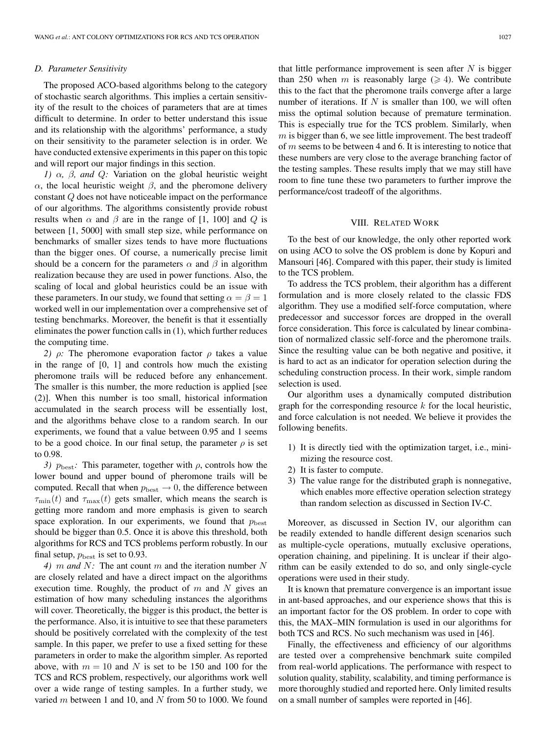#### *D. Parameter Sensitivity*

The proposed ACO-based algorithms belong to the category of stochastic search algorithms. This implies a certain sensitivity of the result to the choices of parameters that are at times difficult to determine. In order to better understand this issue and its relationship with the algorithms' performance, a study on their sensitivity to the parameter selection is in order. We have conducted extensive experiments in this paper on this topic and will report our major findings in this section.

*1)* α*,* β*, and* Q*:* Variation on the global heuristic weight α, the local heuristic weight  $β$ , and the pheromone delivery constant Q does not have noticeable impact on the performance of our algorithms. The algorithms consistently provide robust results when  $\alpha$  and  $\beta$  are in the range of [1, 100] and Q is between [1, 5000] with small step size, while performance on benchmarks of smaller sizes tends to have more fluctuations than the bigger ones. Of course, a numerically precise limit should be a concern for the parameters  $\alpha$  and  $\beta$  in algorithm realization because they are used in power functions. Also, the scaling of local and global heuristics could be an issue with these parameters. In our study, we found that setting  $\alpha = \beta = 1$ worked well in our implementation over a comprehensive set of testing benchmarks. Moreover, the benefit is that it essentially eliminates the power function calls in (1), which further reduces the computing time.

*2)*  $ρ$ : The pheromone evaporation factor  $ρ$  takes a value in the range of [0, 1] and controls how much the existing pheromone trails will be reduced before any enhancement. The smaller is this number, the more reduction is applied [see (2)]. When this number is too small, historical information accumulated in the search process will be essentially lost, and the algorithms behave close to a random search. In our experiments, we found that a value between 0.95 and 1 seems to be a good choice. In our final setup, the parameter  $\rho$  is set to 0.98.

*3)*  $p_{\text{best}}$ : This parameter, together with  $\rho$ , controls how the lower bound and upper bound of pheromone trails will be computed. Recall that when  $p_{best} \rightarrow 0$ , the difference between  $\tau_{\min}(t)$  and  $\tau_{\max}(t)$  gets smaller, which means the search is getting more random and more emphasis is given to search space exploration. In our experiments, we found that  $p_{\text{best}}$ should be bigger than 0.5. Once it is above this threshold, both algorithms for RCS and TCS problems perform robustly. In our final setup,  $p_{\text{best}}$  is set to 0.93.

*4)* m *and* N*:* The ant count m and the iteration number N are closely related and have a direct impact on the algorithms execution time. Roughly, the product of  $m$  and  $N$  gives an estimation of how many scheduling instances the algorithms will cover. Theoretically, the bigger is this product, the better is the performance. Also, it is intuitive to see that these parameters should be positively correlated with the complexity of the test sample. In this paper, we prefer to use a fixed setting for these parameters in order to make the algorithm simpler. As reported above, with  $m = 10$  and N is set to be 150 and 100 for the TCS and RCS problem, respectively, our algorithms work well over a wide range of testing samples. In a further study, we varied  $m$  between 1 and 10, and  $N$  from 50 to 1000. We found

that little performance improvement is seen after  $N$  is bigger than 250 when m is reasonably large  $(\geq 4)$ . We contribute this to the fact that the pheromone trails converge after a large number of iterations. If  $N$  is smaller than 100, we will often miss the optimal solution because of premature termination. This is especially true for the TCS problem. Similarly, when  $m$  is bigger than 6, we see little improvement. The best tradeoff of m seems to be between 4 and 6. It is interesting to notice that these numbers are very close to the average branching factor of the testing samples. These results imply that we may still have room to fine tune these two parameters to further improve the performance/cost tradeoff of the algorithms.

# VIII. RELATED WORK

To the best of our knowledge, the only other reported work on using ACO to solve the OS problem is done by Kopuri and Mansouri [46]. Compared with this paper, their study is limited to the TCS problem.

To address the TCS problem, their algorithm has a different formulation and is more closely related to the classic FDS algorithm. They use a modified self-force computation, where predecessor and successor forces are dropped in the overall force consideration. This force is calculated by linear combination of normalized classic self-force and the pheromone trails. Since the resulting value can be both negative and positive, it is hard to act as an indicator for operation selection during the scheduling construction process. In their work, simple random selection is used.

Our algorithm uses a dynamically computed distribution graph for the corresponding resource  $k$  for the local heuristic, and force calculation is not needed. We believe it provides the following benefits.

- 1) It is directly tied with the optimization target, i.e., minimizing the resource cost.
- 2) It is faster to compute.
- 3) The value range for the distributed graph is nonnegative, which enables more effective operation selection strategy than random selection as discussed in Section IV-C.

Moreover, as discussed in Section IV, our algorithm can be readily extended to handle different design scenarios such as multiple-cycle operations, mutually exclusive operations, operation chaining, and pipelining. It is unclear if their algorithm can be easily extended to do so, and only single-cycle operations were used in their study.

It is known that premature convergence is an important issue in ant-based approaches, and our experience shows that this is an important factor for the OS problem. In order to cope with this, the MAX–MIN formulation is used in our algorithms for both TCS and RCS. No such mechanism was used in [46].

Finally, the effectiveness and efficiency of our algorithms are tested over a comprehensive benchmark suite compiled from real-world applications. The performance with respect to solution quality, stability, scalability, and timing performance is more thoroughly studied and reported here. Only limited results on a small number of samples were reported in [46].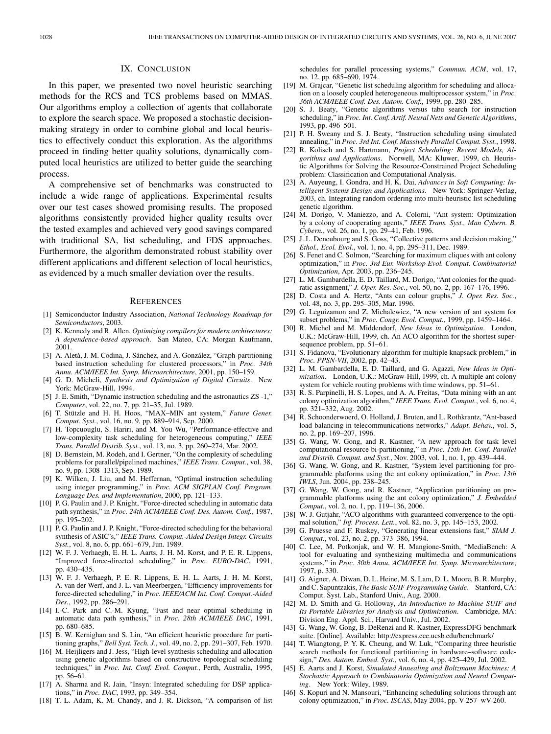## IX. CONCLUSION

In this paper, we presented two novel heuristic searching methods for the RCS and TCS problems based on MMAS. Our algorithms employ a collection of agents that collaborate to explore the search space. We proposed a stochastic decisionmaking strategy in order to combine global and local heuristics to effectively conduct this exploration. As the algorithms proceed in finding better quality solutions, dynamically computed local heuristics are utilized to better guide the searching process.

A comprehensive set of benchmarks was constructed to include a wide range of applications. Experimental results over our test cases showed promising results. The proposed algorithms consistently provided higher quality results over the tested examples and achieved very good savings compared with traditional SA, list scheduling, and FDS approaches. Furthermore, the algorithm demonstrated robust stability over different applications and different selection of local heuristics, as evidenced by a much smaller deviation over the results.

#### **REFERENCES**

- [1] Semiconductor Industry Association, *National Technology Roadmap for Semiconductors*, 2003.
- [2] K. Kennedy and R. Allen, *Optimizing compilers for modern architectures: A dependence-based approach*. San Mateo, CA: Morgan Kaufmann, 2001.
- [3] A. Aletà, J. M. Codina, J. Sánchez, and A. González, "Graph-partitioning based instruction scheduling for clustered processors," in *Proc. 34th Annu. ACM/IEEE Int. Symp. Microarchitecture*, 2001, pp. 150–159.
- [4] G. D. Micheli, *Synthesis and Optimization of Digital Circuits*. New York: McGraw-Hill, 1994.
- [5] J. E. Smith, "Dynamic instruction scheduling and the astronautics ZS -1," *Computer*, vol. 22, no. 7, pp. 21–35, Jul. 1989.
- [6] T. Stützle and H. H. Hoos, "MAX–MIN ant system," *Future Gener. Comput. Syst.*, vol. 16, no. 9, pp. 889–914, Sep. 2000.
- [7] H. Topcuouglu, S. Hariri, and M. You Wu, "Performance-effective and low-complexity task scheduling for heterogeneous computing," *IEEE Trans. Parallel Distrib. Syst.*, vol. 13, no. 3, pp. 260–274, Mar. 2002.
- [8] D. Bernstein, M. Rodeh, and I. Gertner, "On the complexity of scheduling problems for parallel/pipelined machines," *IEEE Trans. Comput.*, vol. 38, no. 9, pp. 1308–1313, Sep. 1989.
- [9] K. Wilken, J. Liu, and M. Heffernan, "Optimal instruction scheduling using integer programming," in *Proc. ACM SIGPLAN Conf. Program. Language Des. and Implementation*, 2000, pp. 121–133.
- [10] P. G. Paulin and J. P. Knight, "Force-directed scheduling in automatic data path synthesis," in *Proc. 24th ACM/IEEE Conf. Des. Autom. Conf.*, 1987, pp. 195–202.
- [11] P. G. Paulin and J. P. Knight, "Force-directed scheduling for the behavioral synthesis of ASIC's," *IEEE Trans. Comput.-Aided Design Integr. Circuits Syst.*, vol. 8, no. 6, pp. 661–679, Jun. 1989.
- [12] W. F. J. Verhaegh, E. H. L. Aarts, J. H. M. Korst, and P. E. R. Lippens, "Improved force-directed scheduling," in *Proc. EURO-DAC*, 1991, pp. 430–435.
- [13] W. F. J. Verhaegh, P. E. R. Lippens, E. H. L. Aarts, J. H. M. Korst, A. van der Werf, and J. L. van Meerbergen, "Efficiency improvements for force-directed scheduling," in *Proc. IEEE/ACM Int. Conf. Comput.-Aided Des.*, 1992, pp. 286–291.
- [14] I.-C. Park and C.-M. Kyung, "Fast and near optimal scheduling in automatic data path synthesis," in *Proc. 28th ACM/IEEE DAC*, 1991, pp. 680–685.
- [15] B. W. Kernighan and S. Lin, "An efficient heuristic procedure for partitioning graphs," *Bell Syst. Tech. J.*, vol. 49, no. 2, pp. 291–307, Feb. 1970.
- [16] M. Heijligers and J. Jess, "High-level synthesis scheduling and allocation using genetic algorithms based on constructive topological scheduling techniques," in *Proc. Int. Conf. Evol. Comput.*, Perth, Australia, 1995, pp. 56–61.
- [17] A. Sharma and R. Jain, "Insyn: Integrated scheduling for DSP applications," in *Proc. DAC*, 1993, pp. 349–354.
- [18] T. L. Adam, K. M. Chandy, and J. R. Dickson, "A comparison of list

schedules for parallel processing systems," *Commun. ACM*, vol. 17, no. 12, pp. 685–690, 1974.

- [19] M. Grajcar, "Genetic list scheduling algorithm for scheduling and allocation on a loosely coupled heterogeneous multiprocessor system," in *Proc. 36th ACM/IEEE Conf. Des. Autom. Conf.*, 1999, pp. 280–285.
- [20] S. J. Beaty, "Genetic algorithms versus tabu search for instruction scheduling," in *Proc. Int. Conf. Artif. Neural Nets and Genetic Algorithms*, 1993, pp. 496–501.
- [21] P. H. Sweany and S. J. Beaty, "Instruction scheduling using simulated annealing," in *Proc. 3rd Int. Conf. Massively Parallel Comput. Syst.*, 1998.
- [22] R. Kolisch and S. Hartmann, *Project Scheduling: Recent Models, Algorithms and Applications*. Norwell, MA: Kluwer, 1999, ch. Heuristic Algorithms for Solving the Resource-Constrained Project Scheduling problem: Classification and Computational Analysis.
- [23] A. Auyeung, I. Gondra, and H. K. Dai, *Advances in Soft Computing: Intelligent Systems Design and Applications*. New York: Springer-Verlag, 2003, ch. Integrating random ordering into multi-heuristic list scheduling genetic algorithm.
- [24] M. Dorigo, V. Maniezzo, and A. Colorni, "Ant system: Optimization by a colony of cooperating agents," *IEEE Trans. Syst., Man Cybern. B, Cybern.*, vol. 26, no. 1, pp. 29–41, Feb. 1996.
- [25] J. L. Deneubourg and S. Goss, "Collective patterns and decision making," *Ethol., Ecol. Evol.*, vol. 1, no. 4, pp. 295–311, Dec. 1989.
- [26] S. Fenet and C. Solmon, "Searching for maximum cliques with ant colony optimization," in *Proc. 3rd Eur. Workshop Evol. Comput. Combinatorial Optimization*, Apr. 2003, pp. 236–245.
- [27] L. M. Gambardella, E. D. Taillard, M. Dorigo, "Ant colonies for the quadratic assignment," *J. Oper. Res. Soc.*, vol. 50, no. 2, pp. 167–176, 1996.
- [28] D. Costa and A. Hertz, "Ants can colour graphs," *J. Oper. Res. Soc.*, vol. 48, no. 3, pp. 295–305, Mar. 1996.
- [29] G. Leguizamon and Z. Michalewicz, "A new version of ant system for subset problems," in *Proc. Congr. Evol. Comput.*, 1999, pp. 1459–1464.
- [30] R. Michel and M. Middendorf, *New Ideas in Optimization*. London, U.K.: McGraw-Hill, 1999, ch. An ACO algorithm for the shortest supersequence problem, pp. 51–61.
- [31] S. Fidanova, "Evolutionary algorithm for multiple knapsack problem," in *Proc. PPSN-VII*, 2002, pp. 42–43.
- [32] L. M. Gambardella, E. D. Taillard, and G. Agazzi, *New Ideas in Optimization*. London, U.K.: McGraw-Hill, 1999, ch. A multiple ant colony system for vehicle routing problems with time windows, pp. 51–61.
- [33] R. S. Parpinelli, H. S. Lopes, and A. A. Freitas, "Data mining with an ant colony optimization algorithm," *IEEE Trans. Evol. Comput.*, vol. 6, no. 4, pp. 321–332, Aug. 2002.
- [34] R. Schoonderwoerd, O. Holland, J. Bruten, and L. Rothkrantz, "Ant-based load balancing in telecommunications networks," *Adapt. Behav.*, vol. 5, no. 2, pp. 169–207, 1996.
- [35] G. Wang, W. Gong, and R. Kastner, "A new approach for task level computational resource bi-partitioning," in *Proc. 15th Int. Conf. Parallel and Distrib. Comput. and Syst.*, Nov. 2003, vol. 1, no. 1, pp. 439–444.
- [36] G. Wang, W. Gong, and R. Kastner, "System level partitioning for programmable platforms using the ant colony optimization," in *Proc. 13th IWLS*, Jun. 2004, pp. 238–245.
- [37] G. Wang, W. Gong, and R. Kastner, "Application partitioning on programmable platforms using the ant colony optimization," *J. Embedded Comput.*, vol. 2, no. 1, pp. 119–136, 2006.
- [38] W. J. Gutjahr, "ACO algorithms with guaranteed convergence to the optimal solution," *Inf. Process. Lett.*, vol. 82, no. 3, pp. 145–153, 2002.
- [39] G. Pruesse and F. Ruskey, "Generating linear extensions fast," *SIAM J. Comput.*, vol. 23, no. 2, pp. 373–386, 1994.
- [40] C. Lee, M. Potkonjak, and W. H. Mangione-Smith, "MediaBench: A tool for evaluating and synthesizing multimedia and communications systems," in *Proc. 30th Annu. ACM/IEEE Int. Symp. Microarchitecture*, 1997, p. 330.
- [41] G. Aigner, A. Diwan, D. L. Heine, M. S. Lam, D. L. Moore, B. R. Murphy, and C. Sapuntzakis, *The Basic SUIF Programming Guide*. Stanford, CA: Comput. Syst. Lab., Stanford Univ., Aug. 2000.
- [42] M. D. Smith and G. Holloway, *An Introduction to Machine SUIF and Its Portable Libraries for Analysis and Optimization*. Cambridge, MA: Division Eng. Appl. Sci., Harvard Univ., Jul. 2002.
- [43] G. Wang, W. Gong, B. DeRenzi and R. Kastner, ExpressDFG benchmark suite. [Online]. Available: http://express.ece.ucsb.edu/benchmark/
- [44] T. Wiangtong, P. Y. K. Cheung, and W. Luk, "Comparing three heuristic search methods for functional partitioning in hardware–software codesign," *Des. Autom. Embed. Syst.*, vol. 6, no. 4, pp. 425–429, Jul. 2002.
- [45] E. Aarts and J. Korst, *Simulated Annealing and Boltzmann Machines: A Stochastic Approach to Combinatoria Optimization and Neural Computing*. New York: Wiley, 1989.
- [46] S. Kopuri and N. Mansouri, "Enhancing scheduling solutions through ant colony optimization," in *Proc. ISCAS*, May 2004, pp. V-257–wV-260.